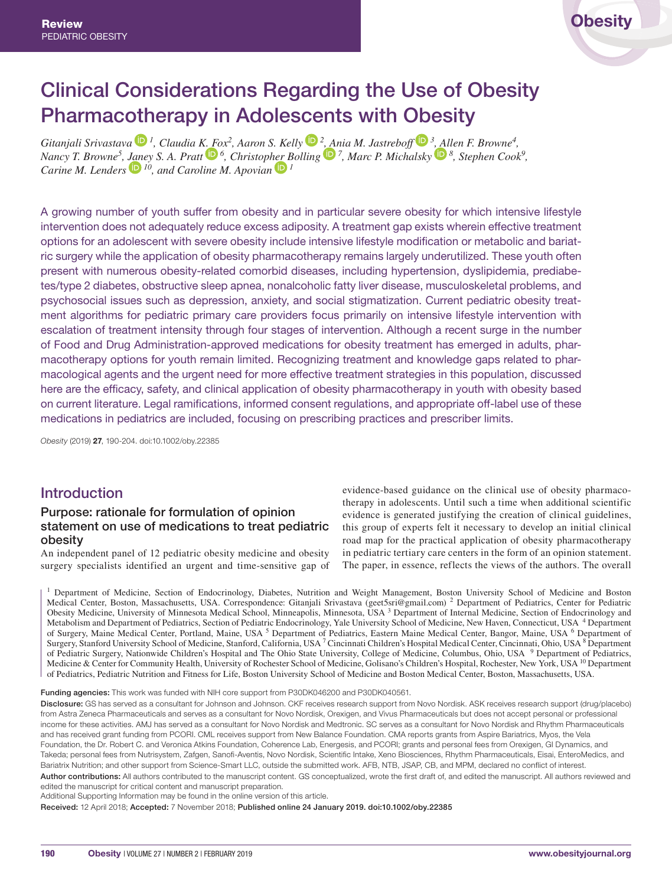# Clinical Considerations Regarding the Use of Obesity Pharmacotherapy in Adolescents with Obesity

*Gitanjali Srivastava*  $\bullet$ <sup>*I*</sup>, *Claudia [K. Fo](https://orcid.org/0000-0002-6850-3427)x*<sup>2</sup>, Aaron S. Kelly  $\bullet$ <sup>2</sup>[, An](http://orcid.org/0000-0002-2852-8427)ia M. Jastreboff  $\bullet$ <sup>[3](https://orcid.org/0000-0003-1446-0991)</sup>[, Al](http://orcid.org/0000-0002-7119-3634)len F. Browne<sup>4</sup>, *Nancy T. Browne5, [Jane](http://orcid.org/0000-0002-2417-8570)y S. A. Pratt 6, Christop[her B](http://orcid.org/0000-0002-8029-1922)olling 7, Marc P. Michalsky 8, Stephen Cook9, Carine M. Lenders*  $\bullet$  <sup>10</sup>, and Caroline *M. Apovian*  $\bullet$  <sup>1</sup>

A growing number of youth suffer from obesity and in particular severe obesity for which intensive lifestyle intervention does not adequately reduce excess adiposity. A treatment gap exists wherein effective treatment options for an adolescent with severe obesity include intensive lifestyle modification or metabolic and bariatric surgery while the application of obesity pharmacotherapy remains largely underutilized. These youth often present with numerous obesity-related comorbid diseases, including hypertension, dyslipidemia, prediabetes/type 2 diabetes, obstructive sleep apnea, nonalcoholic fatty liver disease, musculoskeletal problems, and psychosocial issues such as depression, anxiety, and social stigmatization. Current pediatric obesity treatment algorithms for pediatric primary care providers focus primarily on intensive lifestyle intervention with escalation of treatment intensity through four stages of intervention. Although a recent surge in the number of Food and Drug Administration-approved medications for obesity treatment has emerged in adults, pharmacotherapy options for youth remain limited. Recognizing treatment and knowledge gaps related to pharmacological agents and the urgent need for more effective treatment strategies in this population, discussed here are the efficacy, safety, and clinical application of obesity pharmacotherapy in youth with obesity based on current literature. Legal ramifications, informed consent regulations, and appropriate off-label use of these medications in pediatrics are included, focusing on prescribing practices and prescriber limits.

*Obesity* (2019) 27, 190-204. doi:10.1002/oby.22385

### **Introduction**

### Purpose: rationale for formulation of opinion statement on use of medications to treat pediatric obesity

An independent panel of 12 pediatric obesity medicine and obesity surgery specialists identified an urgent and time-sensitive gap of

evidence-based guidance on the clinical use of obesity pharmacotherapy in adolescents. Until such a time when additional scientific evidence is generated justifying the creation of clinical guidelines, this group of experts felt it necessary to develop an initial clinical road map for the practical application of obesity pharmacotherapy in pediatric tertiary care centers in the form of an opinion statement. The paper, in essence, reflects the views of the authors. The overall

<sup>1</sup> Department of Medicine, Section of Endocrinology, Diabetes, Nutrition and Weight Management, Boston University School of Medicine and Boston Medical Center, Boston, Massachusetts, USA. Correspondence: Gitanjali Srivastava ([geet5sri@gmail.com](mailto:geet5sri@gmail.com))<sup>2</sup> Department of Pediatrics, Center for Pediatric Obesity Medicine, University of Minnesota Medical School, Minneapolis, Minnesota, USA <sup>3</sup> Department of Internal Medicine, Section of Endocrinology and Metabolism and Department of Pediatrics, Section of Pediatric Endocrinology, Yale University School of Medicine, New Haven, Connecticut, USA <sup>4</sup> Department of Surgery, Maine Medical Center, Portland, Maine, USA<sup>5</sup> Department of Pediatrics, Eastern Maine Medical Center, Bangor, Maine, USA<sup>6</sup> Department of Surgery, Stanford University School of Medicine, Stanford, California, USA 7 Cincinnati Children's Hospital Medical Center, Cincinnati, Ohio, USA 8 Department of Pediatric Surgery, Nationwide Children's Hospital and The Ohio State University, College of Medicine, Columbus, Ohio, USA <sup>9</sup> Department of Pediatrics, Medicine & Center for Community Health, University of Rochester School of Medicine, Golisano's Children's Hospital, Rochester, New York, USA <sup>10</sup> Department of Pediatrics, Pediatric Nutrition and Fitness for Life, Boston University School of Medicine and Boston Medical Center, Boston, Massachusetts, USA.

Funding agencies: This work was funded with NIH core support from P30DK046200 and P30DK040561.

Disclosure: GS has served as a consultant for Johnson and Johnson. CKF receives research support from Novo Nordisk. ASK receives research support (drug/placebo) from Astra Zeneca Pharmaceuticals and serves as a consultant for Novo Nordisk, Orexigen, and Vivus Pharmaceuticals but does not accept personal or professional income for these activities. AMJ has served as a consultant for Novo Nordisk and Medtronic. SC serves as a consultant for Novo Nordisk and Rhythm Pharmaceuticals and has received grant funding from PCORI. CML receives support from New Balance Foundation. CMA reports grants from Aspire Bariatrics, Myos, the Vela Foundation, the Dr. Robert C. and Veronica Atkins Foundation, Coherence Lab, Energesis, and PCORI; grants and personal fees from Orexigen, GI Dynamics, and Takeda; personal fees from Nutrisystem, Zafgen, Sanofi-Aventis, Novo Nordisk, Scientific Intake, Xeno Biosciences, Rhythm Pharmaceuticals, Eisai, EnteroMedics, and Bariatrix Nutrition; and other support from Science-Smart LLC, outside the submitted work. AFB, NTB, JSAP, CB, and MPM, declared no conflict of interest. Author contributions: All authors contributed to the manuscript content. GS conceptualized, wrote the first draft of, and edited the manuscript. All authors reviewed and edited the manuscript for critical content and manuscript preparation.

Additional Supporting Information may be found in the online version of this article.

Received: 12 April 2018; Accepted: 7 November 2018; Published online 24 January 2019. doi:10.1002/oby.22385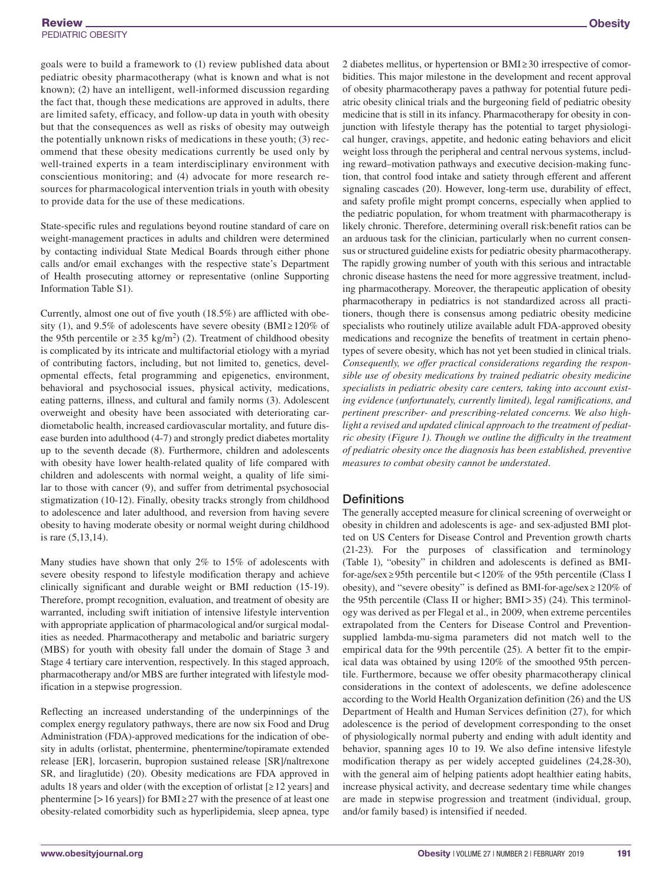goals were to build a framework to (1) review published data about pediatric obesity pharmacotherapy (what is known and what is not known); (2) have an intelligent, well-informed discussion regarding the fact that, though these medications are approved in adults, there are limited safety, efficacy, and follow-up data in youth with obesity but that the consequences as well as risks of obesity may outweigh the potentially unknown risks of medications in these youth; (3) recommend that these obesity medications currently be used only by well-trained experts in a team interdisciplinary environment with conscientious monitoring; and (4) advocate for more research resources for pharmacological intervention trials in youth with obesity to provide data for the use of these medications.

State-specific rules and regulations beyond routine standard of care on weight-management practices in adults and children were determined by contacting individual State Medical Boards through either phone calls and/or email exchanges with the respective state's Department of Health prosecuting attorney or representative (online Supporting Information Table S1).

Currently, almost one out of five youth (18.5%) are afflicted with obesity (1), and 9.5% of adolescents have severe obesity (BMI ≥120% of the 95th percentile or  $\geq$  35 kg/m<sup>2</sup>) (2). Treatment of childhood obesity is complicated by its intricate and multifactorial etiology with a myriad of contributing factors, including, but not limited to, genetics, developmental effects, fetal programming and epigenetics, environment, behavioral and psychosocial issues, physical activity, medications, eating patterns, illness, and cultural and family norms (3). Adolescent overweight and obesity have been associated with deteriorating cardiometabolic health, increased cardiovascular mortality, and future disease burden into adulthood (4-7) and strongly predict diabetes mortality up to the seventh decade (8). Furthermore, children and adolescents with obesity have lower health-related quality of life compared with children and adolescents with normal weight, a quality of life similar to those with cancer (9), and suffer from detrimental psychosocial stigmatization (10-12). Finally, obesity tracks strongly from childhood to adolescence and later adulthood, and reversion from having severe obesity to having moderate obesity or normal weight during childhood is rare (5,13,14).

Many studies have shown that only 2% to 15% of adolescents with severe obesity respond to lifestyle modification therapy and achieve clinically significant and durable weight or BMI reduction (15-19). Therefore, prompt recognition, evaluation, and treatment of obesity are warranted, including swift initiation of intensive lifestyle intervention with appropriate application of pharmacological and/or surgical modalities as needed. Pharmacotherapy and metabolic and bariatric surgery (MBS) for youth with obesity fall under the domain of Stage 3 and Stage 4 tertiary care intervention, respectively. In this staged approach, pharmacotherapy and/or MBS are further integrated with lifestyle modification in a stepwise progression.

Reflecting an increased understanding of the underpinnings of the complex energy regulatory pathways, there are now six Food and Drug Administration (FDA)-approved medications for the indication of obesity in adults (orlistat, phentermine, phentermine/topiramate extended release [ER], lorcaserin, bupropion sustained release [SR]/naltrexone SR, and liraglutide) (20). Obesity medications are FDA approved in adults 18 years and older (with the exception of orlistat [≥12 years] and phentermine  $[>16$  years]) for BMI ≥27 with the presence of at least one obesity-related comorbidity such as hyperlipidemia, sleep apnea, type

2 diabetes mellitus, or hypertension or BMI ≥30 irrespective of comorbidities. This major milestone in the development and recent approval of obesity pharmacotherapy paves a pathway for potential future pediatric obesity clinical trials and the burgeoning field of pediatric obesity medicine that is still in its infancy. Pharmacotherapy for obesity in conjunction with lifestyle therapy has the potential to target physiological hunger, cravings, appetite, and hedonic eating behaviors and elicit weight loss through the peripheral and central nervous systems, including reward–motivation pathways and executive decision-making function, that control food intake and satiety through efferent and afferent signaling cascades (20). However, long-term use, durability of effect, and safety profile might prompt concerns, especially when applied to the pediatric population, for whom treatment with pharmacotherapy is likely chronic. Therefore, determining overall risk:benefit ratios can be an arduous task for the clinician, particularly when no current consensus or structured guideline exists for pediatric obesity pharmacotherapy. The rapidly growing number of youth with this serious and intractable chronic disease hastens the need for more aggressive treatment, including pharmacotherapy. Moreover, the therapeutic application of obesity pharmacotherapy in pediatrics is not standardized across all practitioners, though there is consensus among pediatric obesity medicine specialists who routinely utilize available adult FDA-approved obesity medications and recognize the benefits of treatment in certain phenotypes of severe obesity, which has not yet been studied in clinical trials. *Consequently, we offer practical considerations regarding the responsible use of obesity medications by trained pediatric obesity medicine specialists in pediatric obesity care centers, taking into account existing evidence (unfortunately, currently limited), legal ramifications, and pertinent prescriber- and prescribing-related concerns. We also highlight a revised and updated clinical approach to the treatment of pediatric obesity (Figure 1). Though we outline the difficulty in the treatment of pediatric obesity once the diagnosis has been established, preventive measures to combat obesity cannot be understated*.

### **Definitions**

The generally accepted measure for clinical screening of overweight or obesity in children and adolescents is age- and sex-adjusted BMI plotted on US Centers for Disease Control and Prevention growth charts (21-23). For the purposes of classification and terminology (Table 1), "obesity" in children and adolescents is defined as BMIfor-age/sex ≥ 95th percentile but<120% of the 95th percentile (Class I obesity), and "severe obesity" is defined as BMI-for-age/sex  $\geq 120\%$  of the 95th percentile (Class II or higher; BMI>35) (24). This terminology was derived as per Flegal et al., in 2009, when extreme percentiles extrapolated from the Centers for Disease Control and Preventionsupplied lambda-mu-sigma parameters did not match well to the empirical data for the 99th percentile (25). A better fit to the empirical data was obtained by using 120% of the smoothed 95th percentile. Furthermore, because we offer obesity pharmacotherapy clinical considerations in the context of adolescents, we define adolescence according to the World Health Organization definition (26) and the US Department of Health and Human Services definition (27), for which adolescence is the period of development corresponding to the onset of physiologically normal puberty and ending with adult identity and behavior, spanning ages 10 to 19. We also define intensive lifestyle modification therapy as per widely accepted guidelines (24,28-30), with the general aim of helping patients adopt healthier eating habits, increase physical activity, and decrease sedentary time while changes are made in stepwise progression and treatment (individual, group, and/or family based) is intensified if needed.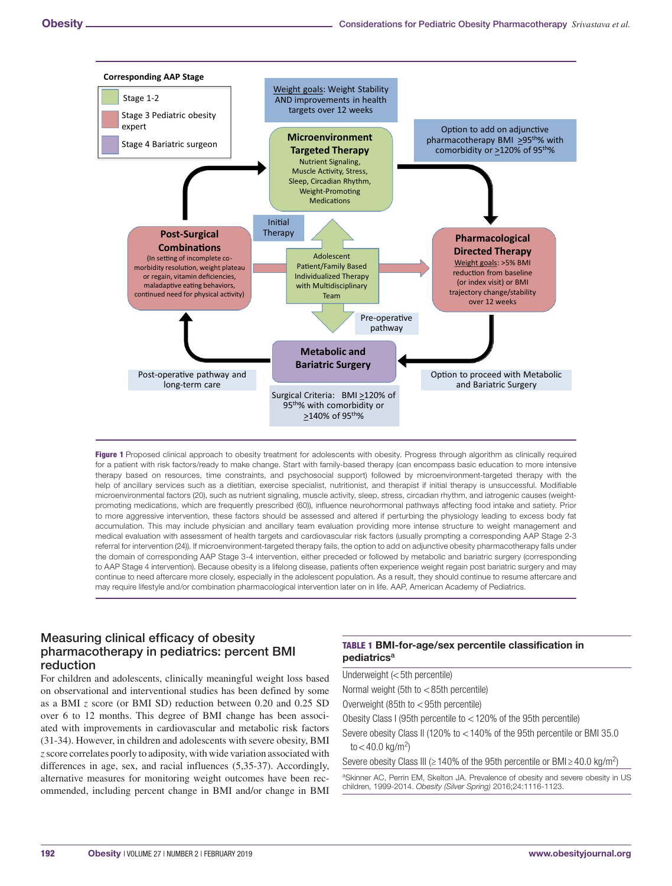

Figure 1 Proposed clinical approach to obesity treatment for adolescents with obesity. Progress through algorithm as clinically required for a patient with risk factors/ready to make change. Start with family-based therapy (can encompass basic education to more intensive therapy based on resources, time constraints, and psychosocial support) followed by microenvironment-targeted therapy with the help of ancillary services such as a dietitian, exercise specialist, nutritionist, and therapist if initial therapy is unsuccessful. Modifiable microenvironmental factors (20), such as nutrient signaling, muscle activity, sleep, stress, circadian rhythm, and iatrogenic causes (weightpromoting medications, which are frequently prescribed (60)), influence neurohormonal pathways affecting food intake and satiety. Prior to more aggressive intervention, these factors should be assessed and altered if perturbing the physiology leading to excess body fat accumulation. This may include physician and ancillary team evaluation providing more intense structure to weight management and medical evaluation with assessment of health targets and cardiovascular risk factors (usually prompting a corresponding AAP Stage 2-3 referral for intervention (24)). If microenvironment-targeted therapy fails, the option to add on adjunctive obesity pharmacotherapy falls under the domain of corresponding AAP Stage 3-4 intervention, either preceded or followed by metabolic and bariatric surgery (corresponding to AAP Stage 4 intervention). Because obesity is a lifelong disease, patients often experience weight regain post bariatric surgery and may continue to need aftercare more closely, especially in the adolescent population. As a result, they should continue to resume aftercare and may require lifestyle and/or combination pharmacological intervention later on in life. AAP, American Academy of Pediatrics.

### Measuring clinical efficacy of obesity pharmacotherapy in pediatrics: percent BMI reduction

For children and adolescents, clinically meaningful weight loss based on observational and interventional studies has been defined by some as a BMI *z* score (or BMI SD) reduction between 0.20 and 0.25 SD over 6 to 12 months. This degree of BMI change has been associated with improvements in cardiovascular and metabolic risk factors (31-34). However, in children and adolescents with severe obesity, BMI *z* score correlates poorly to adiposity, with wide variation associated with differences in age, sex, and racial influences (5,35-37). Accordingly, alternative measures for monitoring weight outcomes have been recommended, including percent change in BMI and/or change in BMI

### TABLE 1 BMI-for-age/sex percentile classification in pediatrics<sup>a</sup>

Underweight  $(<sub>5th</sub>$  percentile)

Normal weight (5th to <85th percentile)

Overweight (85th to <95th percentile)

Obesity Class I (95th percentile to  $<$  120% of the 95th percentile)

Severe obesity Class II (120% to <140% of the 95th percentile or BMI 35.0 to  $<$  40.0 kg/m<sup>2</sup>)

Severe obesity Class III ( $\geq$  140% of the 95th percentile or BMI $\geq$  40.0 kg/m<sup>2</sup>)

aSkinner AC, Perrin EM, Skelton JA. Prevalence of obesity and severe obesity in US children, 1999-2014. *Obesity (Silver Spring)* 2016;24:1116-1123.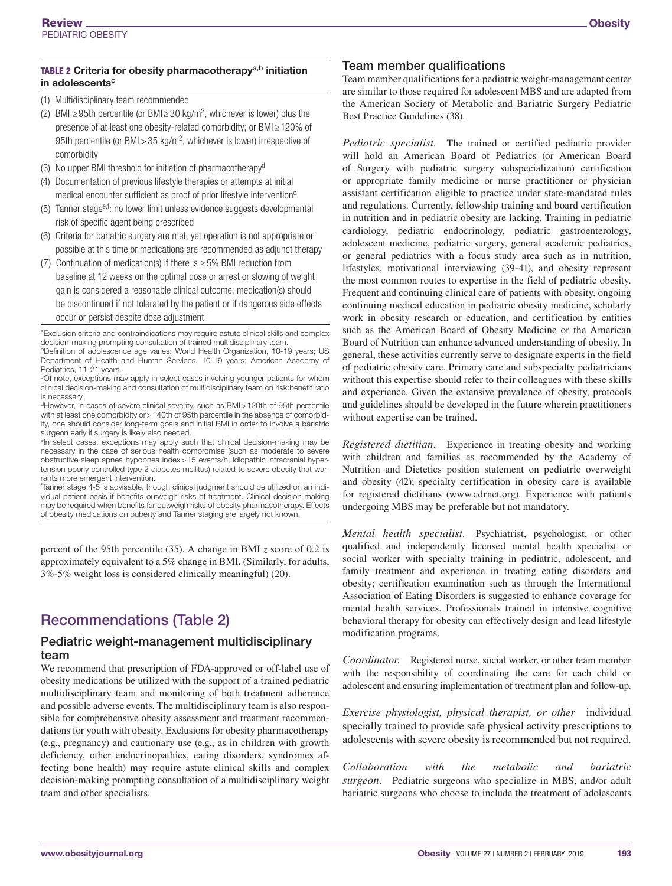### TABLE 2 Criteria for obesity pharmacotherapy<sup>a,b</sup> initiation in adolescents<sup>c</sup>

- (1) Multidisciplinary team recommended
- (2) BMI ≥ 95th percentile (or BMI ≥ 30 kg/m<sup>2</sup>, whichever is lower) plus the presence of at least one obesity-related comorbidity; or BMI≥120% of 95th percentile (or BMI > 35 kg/m<sup>2</sup>, whichever is lower) irrespective of comorbidity
- (3) No upper BMI threshold for initiation of pharmacotherapyd
- (4) Documentation of previous lifestyle therapies or attempts at initial medical encounter sufficient as proof of prior lifestyle intervention<sup>c</sup>
- (5) Tanner stage<sup>e,f</sup>: no lower limit unless evidence suggests developmental risk of specific agent being prescribed
- (6) Criteria for bariatric surgery are met, yet operation is not appropriate or possible at this time or medications are recommended as adjunct therapy
- (7) Continuation of medication(s) if there is  $\geq$  5% BMI reduction from baseline at 12 weeks on the optimal dose or arrest or slowing of weight gain is considered a reasonable clinical outcome; medication(s) should be discontinued if not tolerated by the patient or if dangerous side effects occur or persist despite dose adjustment

aExclusion criteria and contraindications may require astute clinical skills and complex decision-making prompting consultation of trained multidisciplinary team. bDefinition of adolescence age varies: World Health Organization, 10-19 years; US

Department of Health and Human Services, 10-19 years; American Academy of Pediatrics, 11-21 years.

<sup>c</sup>Of note, exceptions may apply in select cases involving younger patients for whom clinical decision-making and consultation of multidisciplinary team on risk:benefit ratio is necessary.

- dHowever, in cases of severe clinical severity, such as BMI>120th of 95th percentile with at least one comorbidity or > 140th of 95th percentile in the absence of comorbidity, one should consider long-term goals and initial BMI in order to involve a bariatric surgeon early if surgery is likely also needed.
- eIn select cases, exceptions may apply such that clinical decision-making may be necessary in the case of serious health compromise (such as moderate to severe obstructive sleep apnea hypopnea index>15 events/h, idiopathic intracranial hypertension poorly controlled type 2 diabetes mellitus) related to severe obesity that warrants more emergent intervention.

f Tanner stage 4-5 is advisable, though clinical judgment should be utilized on an individual patient basis if benefits outweigh risks of treatment. Clinical decision-making may be required when benefits far outweigh risks of obesity pharmacotherapy. Effects of obesity medications on puberty and Tanner staging are largely not known.

percent of the 95th percentile (35). A change in BMI *z* score of 0.2 is approximately equivalent to a 5% change in BMI. (Similarly, for adults, 3%-5% weight loss is considered clinically meaningful) (20).

# Recommendations (Table 2)

### Pediatric weight-management multidisciplinary team

We recommend that prescription of FDA-approved or off-label use of obesity medications be utilized with the support of a trained pediatric multidisciplinary team and monitoring of both treatment adherence and possible adverse events. The multidisciplinary team is also responsible for comprehensive obesity assessment and treatment recommendations for youth with obesity. Exclusions for obesity pharmacotherapy (e.g., pregnancy) and cautionary use (e.g., as in children with growth deficiency, other endocrinopathies, eating disorders, syndromes affecting bone health) may require astute clinical skills and complex decision-making prompting consultation of a multidisciplinary weight team and other specialists.

### Team member qualifications

Team member qualifications for a pediatric weight-management center are similar to those required for adolescent MBS and are adapted from the American Society of Metabolic and Bariatric Surgery Pediatric Best Practice Guidelines (38).

*Pediatric specialist.* The trained or certified pediatric provider will hold an American Board of Pediatrics (or American Board of Surgery with pediatric surgery subspecialization) certification or appropriate family medicine or nurse practitioner or physician assistant certification eligible to practice under state-mandated rules and regulations. Currently, fellowship training and board certification in nutrition and in pediatric obesity are lacking. Training in pediatric cardiology, pediatric endocrinology, pediatric gastroenterology, adolescent medicine, pediatric surgery, general academic pediatrics, or general pediatrics with a focus study area such as in nutrition, lifestyles, motivational interviewing (39-41), and obesity represent the most common routes to expertise in the field of pediatric obesity. Frequent and continuing clinical care of patients with obesity, ongoing continuing medical education in pediatric obesity medicine, scholarly work in obesity research or education, and certification by entities such as the American Board of Obesity Medicine or the American Board of Nutrition can enhance advanced understanding of obesity. In general, these activities currently serve to designate experts in the field of pediatric obesity care. Primary care and subspecialty pediatricians without this expertise should refer to their colleagues with these skills and experience. Given the extensive prevalence of obesity, protocols and guidelines should be developed in the future wherein practitioners without expertise can be trained.

*Registered dietitian.* Experience in treating obesity and working with children and families as recommended by the Academy of Nutrition and Dietetics position statement on pediatric overweight and obesity (42); specialty certification in obesity care is available for registered dietitians [\(www.cdrnet.org\)](www.cdrnet.org). Experience with patients undergoing MBS may be preferable but not mandatory.

*Mental health specialist.* Psychiatrist, psychologist, or other qualified and independently licensed mental health specialist or social worker with specialty training in pediatric, adolescent, and family treatment and experience in treating eating disorders and obesity; certification examination such as through the International Association of Eating Disorders is suggested to enhance coverage for mental health services. Professionals trained in intensive cognitive behavioral therapy for obesity can effectively design and lead lifestyle modification programs.

*Coordinator.* Registered nurse, social worker, or other team member with the responsibility of coordinating the care for each child or adolescent and ensuring implementation of treatment plan and follow-up.

*Exercise physiologist, physical therapist, or other* individual specially trained to provide safe physical activity prescriptions to adolescents with severe obesity is recommended but not required.

*Collaboration with the metabolic and bariatric surgeon.* Pediatric surgeons who specialize in MBS, and/or adult bariatric surgeons who choose to include the treatment of adolescents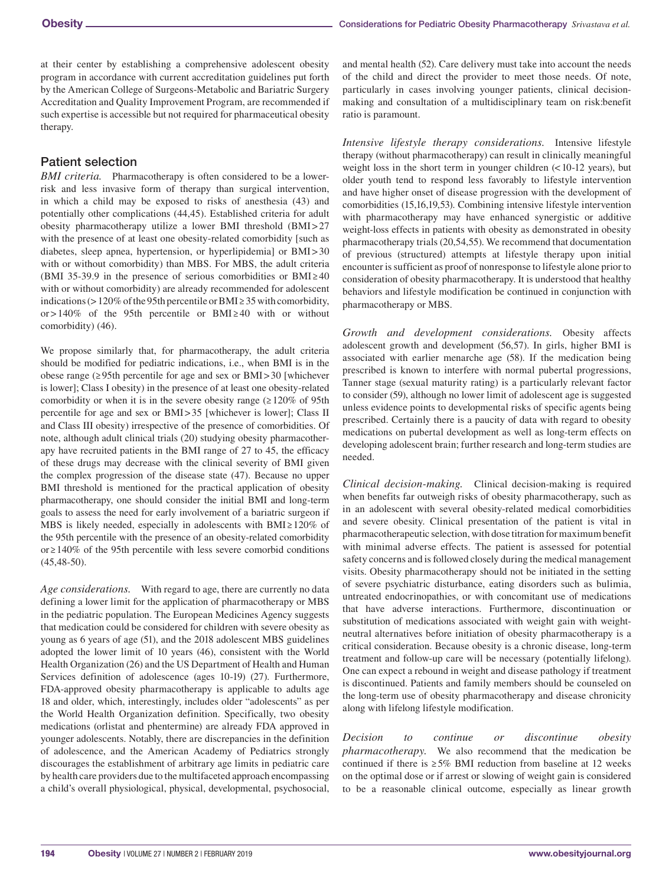at their center by establishing a comprehensive adolescent obesity program in accordance with current accreditation guidelines put forth by the American College of Surgeons-Metabolic and Bariatric Surgery Accreditation and Quality Improvement Program, are recommended if such expertise is accessible but not required for pharmaceutical obesity therapy.

### Patient selection

*BMI criteria.* Pharmacotherapy is often considered to be a lowerrisk and less invasive form of therapy than surgical intervention, in which a child may be exposed to risks of anesthesia (43) and potentially other complications (44,45). Established criteria for adult obesity pharmacotherapy utilize a lower BMI threshold (BMI>27 with the presence of at least one obesity-related comorbidity [such as diabetes, sleep apnea, hypertension, or hyperlipidemia] or BMI>30 with or without comorbidity) than MBS. For MBS, the adult criteria (BMI 35-39.9 in the presence of serious comorbidities or BMI $\geq 40$ with or without comorbidity) are already recommended for adolescent indications ( $>120\%$  of the 95th percentile or BMI ≥ 35 with comorbidity, or > 140% of the 95th percentile or BMI ≥ 40 with or without comorbidity) (46).

We propose similarly that, for pharmacotherapy, the adult criteria should be modified for pediatric indications, i.e., when BMI is in the obese range (≥95th percentile for age and sex or BMI>30 [whichever is lower]; Class I obesity) in the presence of at least one obesity-related comorbidity or when it is in the severe obesity range  $(\geq 120\%$  of 95th percentile for age and sex or BMI>35 [whichever is lower]; Class II and Class III obesity) irrespective of the presence of comorbidities. Of note, although adult clinical trials (20) studying obesity pharmacotherapy have recruited patients in the BMI range of 27 to 45, the efficacy of these drugs may decrease with the clinical severity of BMI given the complex progression of the disease state (47). Because no upper BMI threshold is mentioned for the practical application of obesity pharmacotherapy, one should consider the initial BMI and long-term goals to assess the need for early involvement of a bariatric surgeon if MBS is likely needed, especially in adolescents with  $BMI \ge 120\%$  of the 95th percentile with the presence of an obesity-related comorbidity or ≥140% of the 95th percentile with less severe comorbid conditions (45,48-50).

*Age considerations.* With regard to age, there are currently no data defining a lower limit for the application of pharmacotherapy or MBS in the pediatric population. The European Medicines Agency suggests that medication could be considered for children with severe obesity as young as 6 years of age (51), and the 2018 adolescent MBS guidelines adopted the lower limit of 10 years (46), consistent with the World Health Organization (26) and the US Department of Health and Human Services definition of adolescence (ages 10-19) (27). Furthermore, FDA-approved obesity pharmacotherapy is applicable to adults age 18 and older, which, interestingly, includes older "adolescents" as per the World Health Organization definition. Specifically, two obesity medications (orlistat and phentermine) are already FDA approved in younger adolescents. Notably, there are discrepancies in the definition of adolescence, and the American Academy of Pediatrics strongly discourages the establishment of arbitrary age limits in pediatric care by health care providers due to the multifaceted approach encompassing a child's overall physiological, physical, developmental, psychosocial,

and mental health (52). Care delivery must take into account the needs of the child and direct the provider to meet those needs. Of note, particularly in cases involving younger patients, clinical decisionmaking and consultation of a multidisciplinary team on risk:benefit ratio is paramount.

*Intensive lifestyle therapy considerations.* Intensive lifestyle therapy (without pharmacotherapy) can result in clinically meaningful weight loss in the short term in younger children  $(<10-12$  years), but older youth tend to respond less favorably to lifestyle intervention and have higher onset of disease progression with the development of comorbidities (15,16,19,53). Combining intensive lifestyle intervention with pharmacotherapy may have enhanced synergistic or additive weight-loss effects in patients with obesity as demonstrated in obesity pharmacotherapy trials (20,54,55). We recommend that documentation of previous (structured) attempts at lifestyle therapy upon initial encounter is sufficient as proof of nonresponse to lifestyle alone prior to consideration of obesity pharmacotherapy. It is understood that healthy behaviors and lifestyle modification be continued in conjunction with pharmacotherapy or MBS.

*Growth and development considerations.* Obesity affects adolescent growth and development (56,57). In girls, higher BMI is associated with earlier menarche age (58). If the medication being prescribed is known to interfere with normal pubertal progressions, Tanner stage (sexual maturity rating) is a particularly relevant factor to consider (59), although no lower limit of adolescent age is suggested unless evidence points to developmental risks of specific agents being prescribed. Certainly there is a paucity of data with regard to obesity medications on pubertal development as well as long-term effects on developing adolescent brain; further research and long-term studies are needed.

*Clinical decision-making.* Clinical decision-making is required when benefits far outweigh risks of obesity pharmacotherapy, such as in an adolescent with several obesity-related medical comorbidities and severe obesity. Clinical presentation of the patient is vital in pharmacotherapeutic selection, with dose titration for maximum benefit with minimal adverse effects. The patient is assessed for potential safety concerns and is followed closely during the medical management visits. Obesity pharmacotherapy should not be initiated in the setting of severe psychiatric disturbance, eating disorders such as bulimia, untreated endocrinopathies, or with concomitant use of medications that have adverse interactions. Furthermore, discontinuation or substitution of medications associated with weight gain with weightneutral alternatives before initiation of obesity pharmacotherapy is a critical consideration. Because obesity is a chronic disease, long-term treatment and follow-up care will be necessary (potentially lifelong). One can expect a rebound in weight and disease pathology if treatment is discontinued. Patients and family members should be counseled on the long-term use of obesity pharmacotherapy and disease chronicity along with lifelong lifestyle modification.

*Decision to continue or discontinue obesity pharmacotherapy.* We also recommend that the medication be continued if there is  $\geq$  5% BMI reduction from baseline at 12 weeks on the optimal dose or if arrest or slowing of weight gain is considered to be a reasonable clinical outcome, especially as linear growth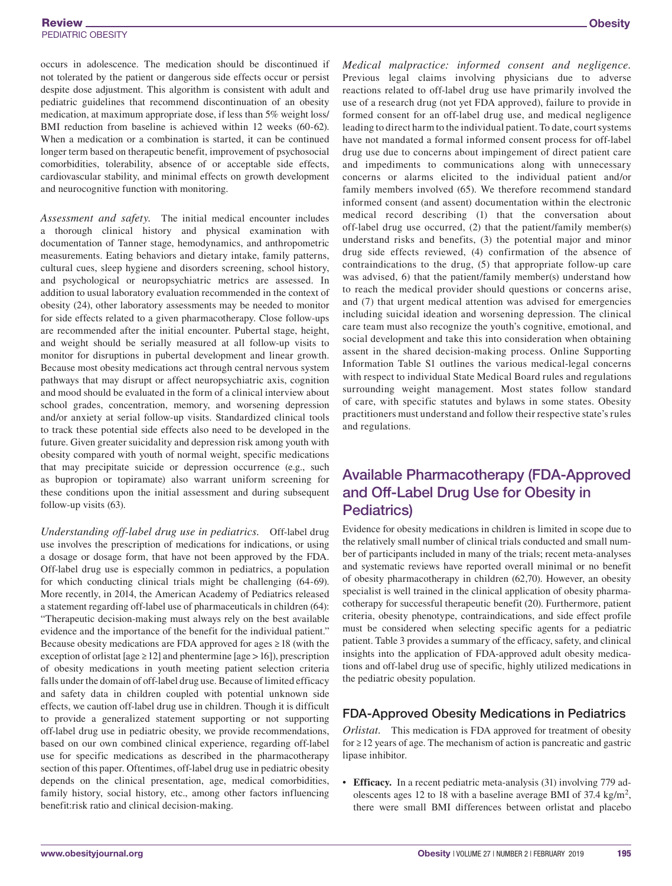occurs in adolescence. The medication should be discontinued if not tolerated by the patient or dangerous side effects occur or persist despite dose adjustment. This algorithm is consistent with adult and pediatric guidelines that recommend discontinuation of an obesity medication, at maximum appropriate dose, if less than 5% weight loss/ BMI reduction from baseline is achieved within 12 weeks (60-62). When a medication or a combination is started, it can be continued longer term based on therapeutic benefit, improvement of psychosocial comorbidities, tolerability, absence of or acceptable side effects, cardiovascular stability, and minimal effects on growth development and neurocognitive function with monitoring.

*Assessment and safety.* The initial medical encounter includes a thorough clinical history and physical examination with documentation of Tanner stage, hemodynamics, and anthropometric measurements. Eating behaviors and dietary intake, family patterns, cultural cues, sleep hygiene and disorders screening, school history, and psychological or neuropsychiatric metrics are assessed. In addition to usual laboratory evaluation recommended in the context of obesity (24), other laboratory assessments may be needed to monitor for side effects related to a given pharmacotherapy. Close follow-ups are recommended after the initial encounter. Pubertal stage, height, and weight should be serially measured at all follow-up visits to monitor for disruptions in pubertal development and linear growth. Because most obesity medications act through central nervous system pathways that may disrupt or affect neuropsychiatric axis, cognition and mood should be evaluated in the form of a clinical interview about school grades, concentration, memory, and worsening depression and/or anxiety at serial follow-up visits. Standardized clinical tools to track these potential side effects also need to be developed in the future. Given greater suicidality and depression risk among youth with obesity compared with youth of normal weight, specific medications that may precipitate suicide or depression occurrence (e.g., such as bupropion or topiramate) also warrant uniform screening for these conditions upon the initial assessment and during subsequent follow-up visits (63).

*Understanding off-label drug use in pediatrics.* Off-label drug use involves the prescription of medications for indications, or using a dosage or dosage form, that have not been approved by the FDA. Off-label drug use is especially common in pediatrics, a population for which conducting clinical trials might be challenging (64-69). More recently, in 2014, the American Academy of Pediatrics released a statement regarding off-label use of pharmaceuticals in children (64): "Therapeutic decision-making must always rely on the best available evidence and the importance of the benefit for the individual patient." Because obesity medications are FDA approved for ages  $\geq$  18 (with the exception of orlistat [age  $\ge$  12] and phentermine [age  $>$  16]), prescription of obesity medications in youth meeting patient selection criteria falls under the domain of off-label drug use. Because of limited efficacy and safety data in children coupled with potential unknown side effects, we caution off-label drug use in children. Though it is difficult to provide a generalized statement supporting or not supporting off-label drug use in pediatric obesity, we provide recommendations, based on our own combined clinical experience, regarding off-label use for specific medications as described in the pharmacotherapy section of this paper. Oftentimes, off-label drug use in pediatric obesity depends on the clinical presentation, age, medical comorbidities, family history, social history, etc., among other factors influencing benefit:risk ratio and clinical decision-making.

*Medical malpractice: informed consent and negligence.* Previous legal claims involving physicians due to adverse reactions related to off-label drug use have primarily involved the use of a research drug (not yet FDA approved), failure to provide in formed consent for an off-label drug use, and medical negligence leading to direct harm to the individual patient. To date, court systems have not mandated a formal informed consent process for off-label drug use due to concerns about impingement of direct patient care and impediments to communications along with unnecessary concerns or alarms elicited to the individual patient and/or family members involved (65). We therefore recommend standard informed consent (and assent) documentation within the electronic medical record describing (1) that the conversation about off-label drug use occurred, (2) that the patient/family member(s) understand risks and benefits, (3) the potential major and minor drug side effects reviewed, (4) confirmation of the absence of contraindications to the drug, (5) that appropriate follow-up care was advised, 6) that the patient/family member(s) understand how to reach the medical provider should questions or concerns arise, and (7) that urgent medical attention was advised for emergencies including suicidal ideation and worsening depression. The clinical care team must also recognize the youth's cognitive, emotional, and social development and take this into consideration when obtaining assent in the shared decision-making process. Online Supporting Information Table S1 outlines the various medical-legal concerns with respect to individual State Medical Board rules and regulations surrounding weight management. Most states follow standard of care, with specific statutes and bylaws in some states. Obesity practitioners must understand and follow their respective state's rules and regulations.

# Available Pharmacotherapy (FDA-Approved and Off-Label Drug Use for Obesity in Pediatrics)

Evidence for obesity medications in children is limited in scope due to the relatively small number of clinical trials conducted and small number of participants included in many of the trials; recent meta-analyses and systematic reviews have reported overall minimal or no benefit of obesity pharmacotherapy in children (62,70). However, an obesity specialist is well trained in the clinical application of obesity pharmacotherapy for successful therapeutic benefit (20). Furthermore, patient criteria, obesity phenotype, contraindications, and side effect profile must be considered when selecting specific agents for a pediatric patient. Table 3 provides a summary of the efficacy, safety, and clinical insights into the application of FDA-approved adult obesity medications and off-label drug use of specific, highly utilized medications in the pediatric obesity population.

### FDA-Approved Obesity Medications in Pediatrics

*Orlistat.* This medication is FDA approved for treatment of obesity for ≥ 12 years of age. The mechanism of action is pancreatic and gastric lipase inhibitor.

• **Efficacy.** In a recent pediatric meta-analysis (31) involving 779 adolescents ages 12 to 18 with a baseline average BMI of 37.4 kg/m2, there were small BMI differences between orlistat and placebo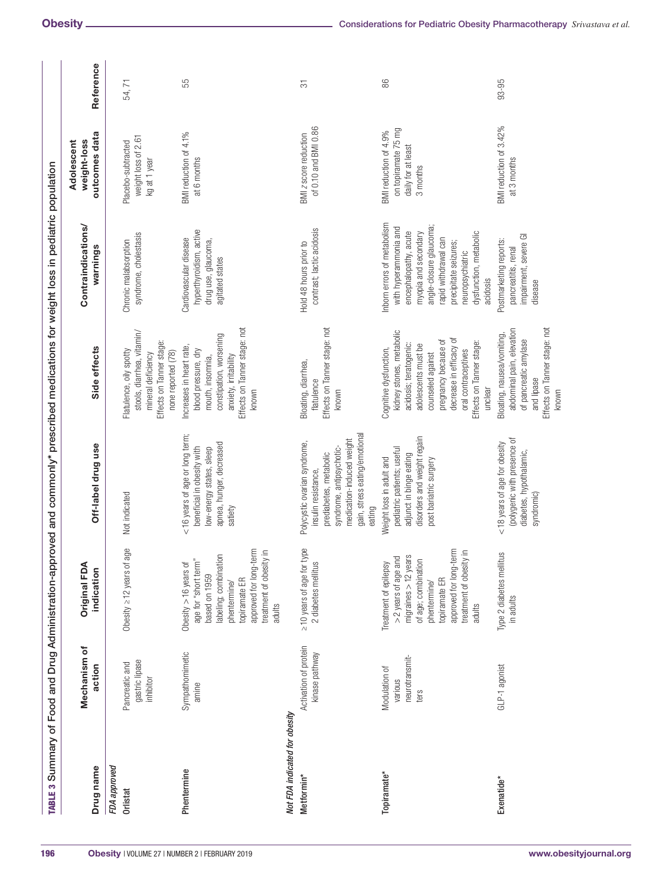|                                             |                                                    |                                                                                                                                                                                              | TABLE 3 Summary of Food and Drug Administration-approved and commonly* prescribed medications for weight loss in pediatric population                                             |                                                                                                                                                                                                                                           |                                                                                                                                                                                                                                             |                                                                                |                                      |
|---------------------------------------------|----------------------------------------------------|----------------------------------------------------------------------------------------------------------------------------------------------------------------------------------------------|-----------------------------------------------------------------------------------------------------------------------------------------------------------------------------------|-------------------------------------------------------------------------------------------------------------------------------------------------------------------------------------------------------------------------------------------|---------------------------------------------------------------------------------------------------------------------------------------------------------------------------------------------------------------------------------------------|--------------------------------------------------------------------------------|--------------------------------------|
| Drug name                                   | Mechanism of<br>action                             | Original FDA<br>indication                                                                                                                                                                   | Off-label drug use                                                                                                                                                                | Side effects                                                                                                                                                                                                                              | <b>Contraindications/</b><br>warnings                                                                                                                                                                                                       | outcomes data<br>weight-loss<br>Adolescent                                     | Reference                            |
| FDA approved<br><b>Orlistat</b>             | gastric lipase<br>Pancreatic and<br>inhibitor      | age<br>Obesity $\geq$ 12 years of                                                                                                                                                            | Not indicated                                                                                                                                                                     | stools, diarrhea, vitamin/<br>Effects on Tanner stage:<br>Flatulence, oily spotty<br>none reported (78)<br>mineral deficiency                                                                                                             | syndrome, cholestasis<br>Chronic malabsorption                                                                                                                                                                                              | weight loss of 2.61<br>Placebo-subtracted<br>kg at 1 year                      | 54,71                                |
| Phentermine                                 | Sympathomimetic<br>amine                           | approved for long-term<br>treatment of obesity in<br>g<br>age for "short term"<br>Obesity $> 16$ years of<br>labeling; combinati<br>based on 1959<br>topiramate ER<br>phentermine/<br>adults | <16 years of age or long term;<br>apnea, hunger, decreased<br>beneficial in obesity with<br>low-energy states, sleep<br>satiety                                                   | Effects on Tanner stage: not<br>constipation, worsening<br>Increases in heart rate,<br>blood pressure, dry<br>anxiety, irritability<br>mouth, insomnia,<br>known                                                                          | hyperthyroidism, active<br>Cardiovascular disease<br>drug use, glaucoma,<br>agitated states                                                                                                                                                 | BMI reduction of 4.1%<br>at 6 months                                           | 55                                   |
| Not FDA indicated for obesity<br>Metformin* | Activation of protein<br>kinase pathway            | ≥10 years of age for type<br>2 diabetes mellitus                                                                                                                                             | gain, stress eating/emotional<br>medication-induced weight<br>Polycystic ovarian syndrome,<br>syndrome, antipsychotic-<br>prediabetes, metabolic<br>insulin resistance,<br>eating | Effects on Tanner stage: not<br>Bloating, diarrhea,<br>flatulence<br>known                                                                                                                                                                | contrast; lactic acidosis<br>Hold 48 hours prior to                                                                                                                                                                                         | of 0.10 and BMI 0.86<br>BMI z score reduction                                  | $\overline{\widetilde{\mathcal{C}}}$ |
| Topiramate*                                 | neurotransmit-<br>Modulation of<br>various<br>ters | approved for long-term<br>treatment of obesity in<br>migraines $>12$ years<br>>2 years of age and<br>Treatment of epilepsy<br>of age; combination<br>topiramate ER<br>phentermine/<br>adults | disorders and weight regain<br>pediatric patients; useful<br>adjunct in binge eating<br>Weight loss in adult and<br>post bariatric surgery                                        | kidney stones, metabolic<br>decrease in efficacy of<br>pregnancy because of<br>Effects on Tanner stage:<br>acidosis; teratogenic:<br>adolescents must be<br>Cognitive dysfunction,<br>oral contraceptives<br>counseled against<br>unclear | Inborn errors of metabolism<br>angle-closure glaucoma;<br>with hyperammonia and<br>encephalopathy, acute<br>myopia and secondary<br>dysfunction, metabolic<br>rapid withdrawal can<br>precipitate seizures;<br>neuropsychiatric<br>acidosis | on topiramate 75 mg<br>BMI reduction of 4.9%<br>daily for at least<br>3 months | 86                                   |
| Exenatide*                                  | GLP-1 agonist                                      | Type 2 diabetes mellitus<br>in adults                                                                                                                                                        | (polygenic with presence of<br><18 years of age for obesity<br>diabetes, hypothalamic,<br>syndromic)                                                                              | Effects on Tanner stage: not<br>abdominal pain, elevation<br>Bloating, nausea/vomiting,<br>of pancreatic amylase<br>and lipase<br>known                                                                                                   | impairment, severe Gl<br>Postmarketing reports:<br>pancreatitis, renal<br>disease                                                                                                                                                           | BMI reduction of 3.42%<br>at 3 months                                          | 93-95                                |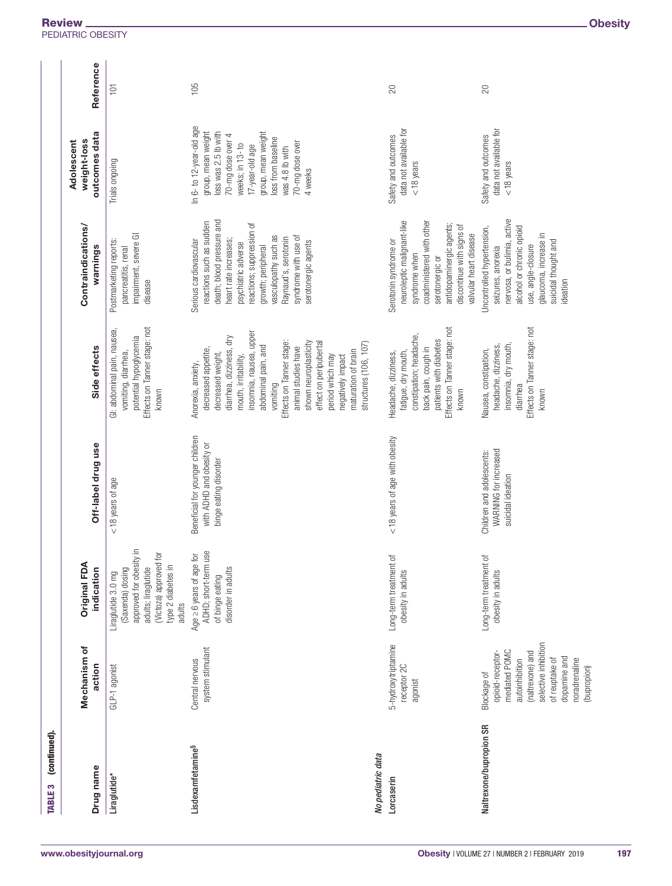| Drug name                       | Mechanism of<br>action                                                                                                                                                           | Original FDA<br>indication                                                                                                                         | Off-label drug use                                                                   | Side effects                                                                                                                                                                                                                                                                                                                                                                    | <b>Contraindications/</b><br>warnings                                                                                                                                                                                                                                             | outcomes data<br>weight-loss<br>Adolescent                                                                                                                                                                                      | Reference        |
|---------------------------------|----------------------------------------------------------------------------------------------------------------------------------------------------------------------------------|----------------------------------------------------------------------------------------------------------------------------------------------------|--------------------------------------------------------------------------------------|---------------------------------------------------------------------------------------------------------------------------------------------------------------------------------------------------------------------------------------------------------------------------------------------------------------------------------------------------------------------------------|-----------------------------------------------------------------------------------------------------------------------------------------------------------------------------------------------------------------------------------------------------------------------------------|---------------------------------------------------------------------------------------------------------------------------------------------------------------------------------------------------------------------------------|------------------|
| Liraglutide*                    | GLP-1 agonist                                                                                                                                                                    | approved for obesity in<br>(Victoza) approved for<br>type 2 diabetes in<br>(Saxenda) dosing<br>adults; liraglutide<br>Liraglutide 3.0 mg<br>adults | <18 years of age                                                                     | Effects on Tanner stage: not<br>Gl: abdominal pain, nausea,<br>potential hypoglycemia<br>vomiting, diarrhea,<br>known                                                                                                                                                                                                                                                           | impairment, severe GI<br>Postmarketing reports:<br>pancreatitis, renal<br>disease                                                                                                                                                                                                 | Trials ongoing                                                                                                                                                                                                                  | $\overline{101}$ |
| Lisdexamfetamine <sup>§</sup>   | system stimulant<br>Central nervous                                                                                                                                              | ADHD; short-term use<br>Age ≥6 years of age for<br>disorder in adults<br>of binge eating                                                           | Beneficial for younger children<br>with ADHD and obesity or<br>binge eating disorder | insomnia, nausea, upper<br>diarrhea, dizziness, dry<br>Effects on Tanner stage:<br>shown neuroplasticity<br>effect on peripubertal<br>structures (106, 107)<br>abdominal pain, and<br>animal studies have<br>decreased appetite,<br>maturation of brain<br>decreased weight,<br>period which may<br>negatively impact<br>mouth, irritability,<br>Anorexia, anxiety,<br>vomiting | death; blood pressure and<br>reactions such as sudden<br>reactions; suppression of<br>vasculopathy such as<br>syndrome with use of<br>Raynaud's, serotonin<br>heart rate increases;<br>Serious cardiovascular<br>serotonergic agents<br>psychiatric adverse<br>growth; peripheral | In 6- to 12-year-old age<br>loss was 2.5 lb with<br>group, mean weight<br>group, mean weight<br>70-mg dose over 4<br>loss from baseline<br>70-mg dose over<br>weeks; in 13- to<br>17-year-old age<br>was 4.8 lb with<br>4 weeks | 105              |
| No pediatric data<br>Lorcaserin | 5-hydroxytriptamine<br>receptor 2C<br>agonist                                                                                                                                    | Long-term treatment of<br>obesity in adults                                                                                                        | <18 years of age with obesity                                                        | Effects on Tanner stage: not<br>constipation; headache,<br>patients with diabetes<br>back pain, cough in<br>fatigue, dry mouth,<br>Headache, dizziness,<br>known                                                                                                                                                                                                                | neuroleptic malignant-like<br>coadministered with other<br>antidopaminergic agents;<br>discontinue with signs of<br>valvular heart disease<br>Serotonin syndrome or<br>syndrome when<br>serotonergic or                                                                           | data not available for<br>Safety and outcomes<br>$<$ 18 years                                                                                                                                                                   | 20               |
| Naltrexone/bupropion SR         | selective inhibition<br>mediated POMC<br>(naltrexone) and<br>opioid-receptor-<br>dopamine and<br>of reuptake of<br>noradrenaline<br>autoinhibition<br>(bupropion)<br>Blockage of | Long-term treatment of<br>obesity in adults                                                                                                        | WARNING for increased<br>Children and adolescents:<br>suicidal ideation              | Effects on Tanner stage: not<br>insomnia, dry mouth,<br>headache, dizziness,<br>Nausea, constipation,<br>diarrhea<br>known                                                                                                                                                                                                                                                      | nervosa, or bulimia, active<br>alcohol or chronic opioid<br>Uncontrolled hypertension,<br>glaucoma, increase in<br>suicidal thought and<br>use, angle-closure<br>seizures, anorexia<br>ideation                                                                                   | data not available for<br>Safety and outcomes<br>$<$ 18 years                                                                                                                                                                   | 20               |

## Review Obesity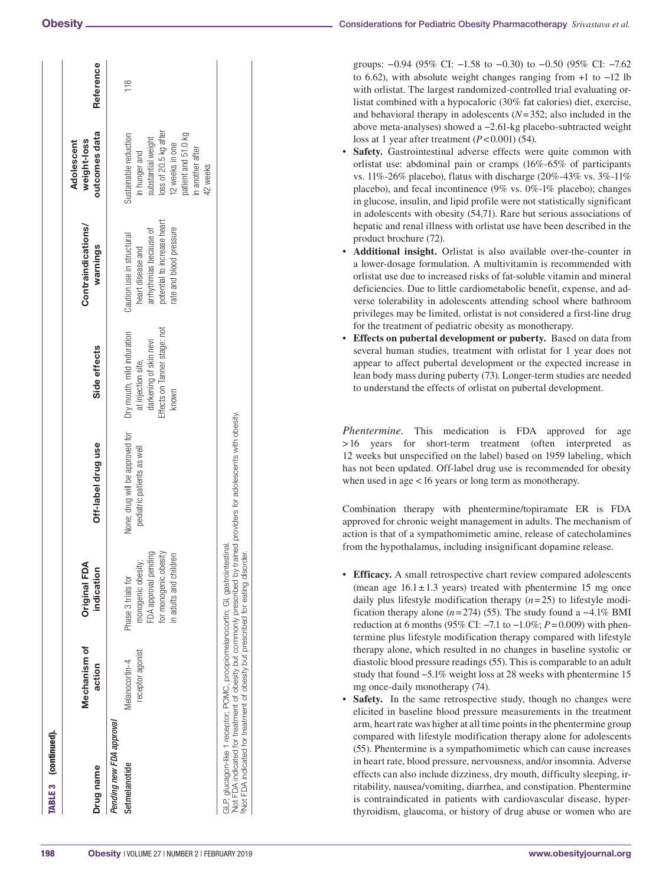| Drug name                                                                                                                                                        | Mechanism of<br>action             | Original FDA<br>indication                                                                                          | Off-label druguse                                                                                                     | Side effects                                                                                                        | Contraindications/<br>warnings                                                                                                     | outcomes data<br>weight-loss<br>Adolescent                                                                                                                      | Reference |
|------------------------------------------------------------------------------------------------------------------------------------------------------------------|------------------------------------|---------------------------------------------------------------------------------------------------------------------|-----------------------------------------------------------------------------------------------------------------------|---------------------------------------------------------------------------------------------------------------------|------------------------------------------------------------------------------------------------------------------------------------|-----------------------------------------------------------------------------------------------------------------------------------------------------------------|-----------|
| Pending new FDA approval<br>Setmelanotide                                                                                                                        | receptor agonist<br>Melanocortin-4 | for monogenic obesity<br>-DA approval pending<br>in adults and children<br>monogenic obesity;<br>Phase 3 trials for | None; drug will be approved for<br>pediatric patients as well                                                         | Effects on Tanner stage: not<br>Dry mouth, mild induration<br>darkening of skin nevi<br>at injection site,<br>known | potential to increase heart<br>rate and blood pressure<br>arrhythmias because of<br>Caution use in structural<br>heart disease and | loss of 20.5 kg after<br>patient and 51.0 kg<br>Sustainable reduction<br>substantial weight<br>12 weeks in one<br>in another after<br>in hunger and<br>42 weeks | 118       |
| GLP, glucagon-like 1 receptor; POMC, proopiomelanocortin; Gl, gastrointestinal<br>Not FDA indicated for treatment of obesity but prescribed for eating disorder. |                                    |                                                                                                                     | Not FDA indicated for treatment of obesity but commonly prescribed by trained providers for adolescents with obesity. |                                                                                                                     |                                                                                                                                    |                                                                                                                                                                 |           |

groups: −0.94 (95% CI: −1.58 to −0.30) to −0.50 (95% CI: −7.62 to 6.62), with absolute weight changes ranging from +1 to −12 lb with orlistat. The largest randomized-controlled trial evaluating orlistat combined with a hypocaloric (30% fat calories) diet, exercise, and behavioral therapy in adolescents (*N*=352; also included in the above meta-analyses) showed a −2.61-kg placebo-subtracted weight loss at 1 year after treatment  $(P<0.001)$  (54).

- Safety. Gastrointestinal adverse effects were quite common with orlistat use: abdominal pain or cramps (16%-65% of participants vs. 11%-26% placebo), flatus with discharge (20%-43% vs. 3%-11% placebo), and fecal incontinence (9% vs. 0%-1% placebo); changes in glucose, insulin, and lipid profile were not statistically significant in adolescents with obesity (54,71). Rare but serious associations of hepatic and renal illness with orlistat use have been described in the product brochure (72).
- **Additional insight.** Orlistat is also available over-the-counter in a lower-dosage formulation. A multivitamin is recommended with orlistat use due to increased risks of fat-soluble vitamin and mineral deficiencies. Due to little cardiometabolic benefit, expense, and adverse tolerability in adolescents attending school where bathroom privileges may be limited, orlistat is not considered a first-line drug for the treatment of pediatric obesity as monotherapy.
- **Effects on pubertal development or puberty.** Based on data from several human studies, treatment with orlistat for 1 year does not appear to affect pubertal development or the expected increase in lean body mass during puberty (73). Longer-term studies are needed to understand the effects of orlistat on pubertal development.

*Phentermine.* This medication is FDA approved for age >16 years for short-term treatment (often interpreted as 12 weeks but unspecified on the label) based on 1959 labeling, which has not been updated. Off-label drug use is recommended for obesity when used in age <16 years or long term as monotherapy.

Combination therapy with phentermine/topiramate ER is FDA approved for chronic weight management in adults. The mechanism of action is that of a sympathomimetic amine, release of catecholamines from the hypothalamus, including insignificant dopamine release.

- **Efficacy.** A small retrospective chart review compared adolescents (mean age  $16.1 \pm 1.3$  years) treated with phentermine 15 mg once daily plus lifestyle modification therapy (*n*=25) to lifestyle modification therapy alone ( $n=274$ ) (55). The study found a  $-4.1\%$  BMI reduction at 6 months (95% CI: −7.1 to −1.0%; *P*=0.009) with phentermine plus lifestyle modification therapy compared with lifestyle therapy alone, which resulted in no changes in baseline systolic or diastolic blood pressure readings (55). This is comparable to an adult study that found −5.1% weight loss at 28 weeks with phentermine 15 mg once-daily monotherapy (74).
- Safety. In the same retrospective study, though no changes were elicited in baseline blood pressure measurements in the treatment arm, heart rate was higher at all time points in the phentermine group compared with lifestyle modification therapy alone for adolescents (55). Phentermine is a sympathomimetic which can cause increases in heart rate, blood pressure, nervousness, and/or insomnia. Adverse effects can also include dizziness, dry mouth, difficulty sleeping, irritability, nausea/vomiting, diarrhea, and constipation. Phentermine is contraindicated in patients with cardiovascular disease, hyperthyroidism, glaucoma, or history of drug abuse or women who are

TABLE 3 (continued) TABLE 3 (continued).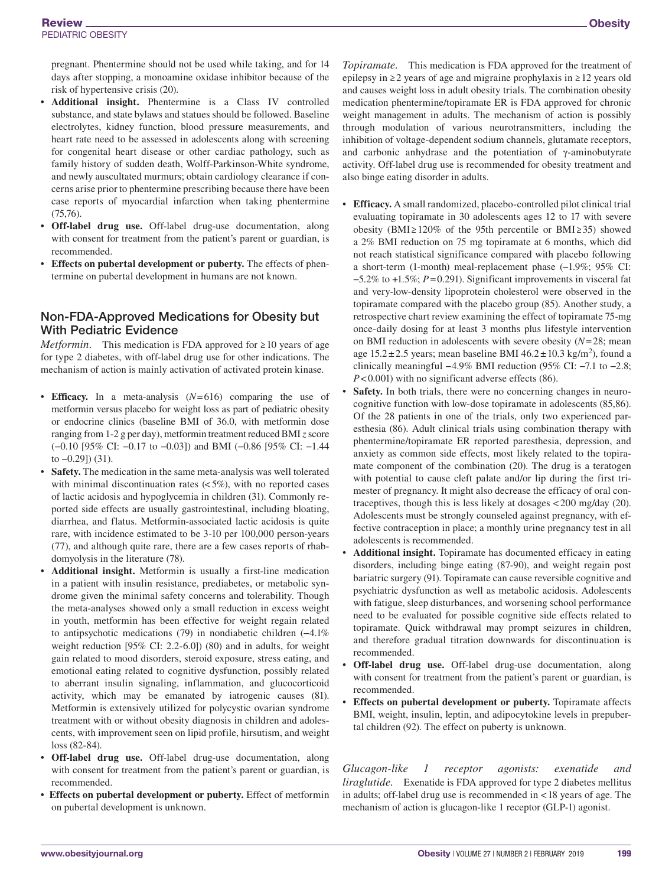pregnant. Phentermine should not be used while taking, and for 14 days after stopping, a monoamine oxidase inhibitor because of the risk of hypertensive crisis (20).

- **Additional insight.** Phentermine is a Class IV controlled substance, and state bylaws and statues should be followed. Baseline electrolytes, kidney function, blood pressure measurements, and heart rate need to be assessed in adolescents along with screening for congenital heart disease or other cardiac pathology, such as family history of sudden death, Wolff-Parkinson-White syndrome, and newly auscultated murmurs; obtain cardiology clearance if concerns arise prior to phentermine prescribing because there have been case reports of myocardial infarction when taking phentermine (75,76).
- **Off-label drug use.** Off-label drug-use documentation, along with consent for treatment from the patient's parent or guardian, is recommended.
- **Effects on pubertal development or puberty.** The effects of phentermine on pubertal development in humans are not known.

### Non-FDA-Approved Medications for Obesity but With Pediatric Evidence

*Metformin.* This medication is FDA approved for  $\geq 10$  years of age for type 2 diabetes, with off-label drug use for other indications. The mechanism of action is mainly activation of activated protein kinase.

- **Efficacy.** In a meta-analysis (*N*=616) comparing the use of metformin versus placebo for weight loss as part of pediatric obesity or endocrine clinics (baseline BMI of 36.0, with metformin dose ranging from 1-2 g per day), metformin treatment reduced BMI *z* score (−0.10 [95% CI: −0.17 to −0.03]) and BMI (−0.86 [95% CI: −1.44 to −0.29]) (31).
- Safety. The medication in the same meta-analysis was well tolerated with minimal discontinuation rates  $\left( \langle 5\% \rangle \right)$ , with no reported cases of lactic acidosis and hypoglycemia in children (31). Commonly reported side effects are usually gastrointestinal, including bloating, diarrhea, and flatus. Metformin-associated lactic acidosis is quite rare, with incidence estimated to be 3-10 per 100,000 person-years (77), and although quite rare, there are a few cases reports of rhabdomyolysis in the literature (78).
- **Additional insight.** Metformin is usually a first-line medication in a patient with insulin resistance, prediabetes, or metabolic syndrome given the minimal safety concerns and tolerability. Though the meta-analyses showed only a small reduction in excess weight in youth, metformin has been effective for weight regain related to antipsychotic medications (79) in nondiabetic children (−4.1% weight reduction [95% CI: 2.2-6.0]) (80) and in adults, for weight gain related to mood disorders, steroid exposure, stress eating, and emotional eating related to cognitive dysfunction, possibly related to aberrant insulin signaling, inflammation, and glucocorticoid activity, which may be emanated by iatrogenic causes (81). Metformin is extensively utilized for polycystic ovarian syndrome treatment with or without obesity diagnosis in children and adolescents, with improvement seen on lipid profile, hirsutism, and weight loss (82-84).
- **Off-label drug use.** Off-label drug-use documentation, along with consent for treatment from the patient's parent or guardian, is recommended.
- **Effects on pubertal development or puberty.** Effect of metformin on pubertal development is unknown.

*Topiramate.* This medication is FDA approved for the treatment of epilepsy in ≥2 years of age and migraine prophylaxis in ≥12 years old and causes weight loss in adult obesity trials. The combination obesity medication phentermine/topiramate ER is FDA approved for chronic weight management in adults. The mechanism of action is possibly through modulation of various neurotransmitters, including the inhibition of voltage-dependent sodium channels, glutamate receptors, and carbonic anhydrase and the potentiation of γ-aminobutyrate activity. Off-label drug use is recommended for obesity treatment and also binge eating disorder in adults.

- **Efficacy.** A small randomized, placebo-controlled pilot clinical trial evaluating topiramate in 30 adolescents ages 12 to 17 with severe obesity (BMI ≥ 120% of the 95th percentile or BMI ≥ 35) showed a 2% BMI reduction on 75 mg topiramate at 6 months, which did not reach statistical significance compared with placebo following a short-term (1-month) meal-replacement phase (−1.9%; 95% CI: −5.2% to +1.5%; *P*=0.291). Significant improvements in visceral fat and very-low-density lipoprotein cholesterol were observed in the topiramate compared with the placebo group (85). Another study, a retrospective chart review examining the effect of topiramate 75-mg once-daily dosing for at least 3 months plus lifestyle intervention on BMI reduction in adolescents with severe obesity (*N*=28; mean age  $15.2 \pm 2.5$  years; mean baseline BMI  $46.2 \pm 10.3$  kg/m<sup>2</sup>), found a clinically meaningful −4.9% BMI reduction (95% CI: −7.1 to −2.8; *P*<0.001) with no significant adverse effects (86).
- Safety. In both trials, there were no concerning changes in neurocognitive function with low-dose topiramate in adolescents (85,86). Of the 28 patients in one of the trials, only two experienced paresthesia (86). Adult clinical trials using combination therapy with phentermine/topiramate ER reported paresthesia, depression, and anxiety as common side effects, most likely related to the topiramate component of the combination (20). The drug is a teratogen with potential to cause cleft palate and/or lip during the first trimester of pregnancy. It might also decrease the efficacy of oral contraceptives, though this is less likely at dosages <200 mg/day (20). Adolescents must be strongly counseled against pregnancy, with effective contraception in place; a monthly urine pregnancy test in all adolescents is recommended.
- **Additional insight.** Topiramate has documented efficacy in eating disorders, including binge eating (87-90), and weight regain post bariatric surgery (91). Topiramate can cause reversible cognitive and psychiatric dysfunction as well as metabolic acidosis. Adolescents with fatigue, sleep disturbances, and worsening school performance need to be evaluated for possible cognitive side effects related to topiramate. Quick withdrawal may prompt seizures in children, and therefore gradual titration downwards for discontinuation is recommended.
- **Off-label drug use.** Off-label drug-use documentation, along with consent for treatment from the patient's parent or guardian, is recommended.
- **Effects on pubertal development or puberty.** Topiramate affects BMI, weight, insulin, leptin, and adipocytokine levels in prepubertal children (92). The effect on puberty is unknown.

*Glucagon-like 1 receptor agonists: exenatide and liraglutide.* Exenatide is FDA approved for type 2 diabetes mellitus in adults; off-label drug use is recommended in <18 years of age. The mechanism of action is glucagon-like 1 receptor (GLP-1) agonist.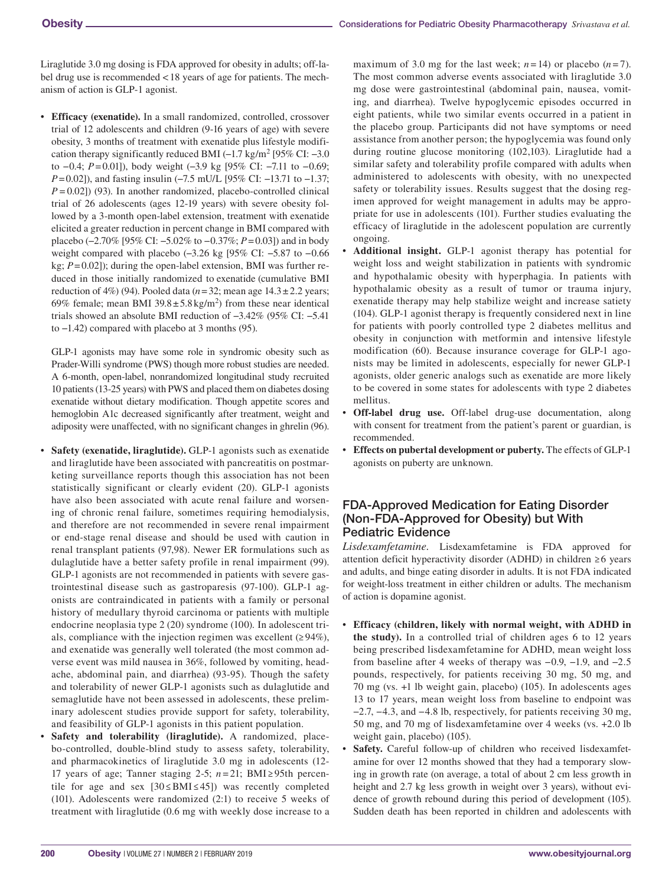Liraglutide 3.0 mg dosing is FDA approved for obesity in adults; off-label drug use is recommended <18 years of age for patients. The mechanism of action is GLP-1 agonist.

• **Efficacy (exenatide).** In a small randomized, controlled, crossover trial of 12 adolescents and children (9-16 years of age) with severe obesity, 3 months of treatment with exenatide plus lifestyle modification therapy significantly reduced BMI ( $-1.7 \text{ kg/m}^2$  [95% CI:  $-3.0$ to −0.4; *P*=0.01]), body weight (−3.9 kg [95% CI: −7.11 to −0.69; *P*=0.02]), and fasting insulin (−7.5 mU/L [95% CI: −13.71 to −1.37; *P=*0.02]) (93). In another randomized, placebo-controlled clinical trial of 26 adolescents (ages 12-19 years) with severe obesity followed by a 3-month open-label extension, treatment with exenatide elicited a greater reduction in percent change in BMI compared with placebo (−2.70% [95% CI: −5.02% to −0.37%; *P*=0.03]) and in body weight compared with placebo (−3.26 kg [95% CI: −5.87 to −0.66 kg; *P*=0.02]); during the open-label extension, BMI was further reduced in those initially randomized to exenatide (cumulative BMI reduction of 4%) (94). Pooled data ( $n=32$ ; mean age  $14.3 \pm 2.2$  years; 69% female; mean BMI  $39.8 \pm 5.8 \text{ kg/m}^2$ ) from these near identical trials showed an absolute BMI reduction of −3.42% (95% CI: −5.41 to −1.42) compared with placebo at 3 months (95).

GLP-1 agonists may have some role in syndromic obesity such as Prader-Willi syndrome (PWS) though more robust studies are needed. A 6-month, open-label, nonrandomized longitudinal study recruited 10 patients (13-25 years) with PWS and placed them on diabetes dosing exenatide without dietary modification. Though appetite scores and hemoglobin A1c decreased significantly after treatment, weight and adiposity were unaffected, with no significant changes in ghrelin (96).

- **Safety (exenatide, liraglutide).** GLP-1 agonists such as exenatide and liraglutide have been associated with pancreatitis on postmarketing surveillance reports though this association has not been statistically significant or clearly evident (20). GLP-1 agonists have also been associated with acute renal failure and worsening of chronic renal failure, sometimes requiring hemodialysis, and therefore are not recommended in severe renal impairment or end-stage renal disease and should be used with caution in renal transplant patients (97,98). Newer ER formulations such as dulaglutide have a better safety profile in renal impairment (99). GLP-1 agonists are not recommended in patients with severe gastrointestinal disease such as gastroparesis (97-100). GLP-1 agonists are contraindicated in patients with a family or personal history of medullary thyroid carcinoma or patients with multiple endocrine neoplasia type 2 (20) syndrome (100)*.* In adolescent trials, compliance with the injection regimen was excellent  $(≥94\%)$ , and exenatide was generally well tolerated (the most common adverse event was mild nausea in 36%, followed by vomiting, headache, abdominal pain, and diarrhea) (93-95). Though the safety and tolerability of newer GLP-1 agonists such as dulaglutide and semaglutide have not been assessed in adolescents, these preliminary adolescent studies provide support for safety, tolerability, and feasibility of GLP-1 agonists in this patient population.
- **Safety and tolerability (liraglutide).** A randomized, placebo-controlled, double-blind study to assess safety, tolerability, and pharmacokinetics of liraglutide 3.0 mg in adolescents (12- 17 years of age; Tanner staging 2-5; *n* = 21; BMI ≥ 95th percentile for age and sex  $[30 \leq BMI \leq 45]$ ) was recently completed (101). Adolescents were randomized (2:1) to receive 5 weeks of treatment with liraglutide (0.6 mg with weekly dose increase to a

maximum of 3.0 mg for the last week;  $n = 14$ ) or placebo  $(n = 7)$ . The most common adverse events associated with liraglutide 3.0 mg dose were gastrointestinal (abdominal pain, nausea, vomiting, and diarrhea). Twelve hypoglycemic episodes occurred in eight patients, while two similar events occurred in a patient in the placebo group. Participants did not have symptoms or need assistance from another person; the hypoglycemia was found only during routine glucose monitoring (102,103). Liraglutide had a similar safety and tolerability profile compared with adults when administered to adolescents with obesity, with no unexpected safety or tolerability issues. Results suggest that the dosing regimen approved for weight management in adults may be appropriate for use in adolescents (101). Further studies evaluating the efficacy of liraglutide in the adolescent population are currently ongoing.

- **Additional insight.** GLP-1 agonist therapy has potential for weight loss and weight stabilization in patients with syndromic and hypothalamic obesity with hyperphagia. In patients with hypothalamic obesity as a result of tumor or trauma injury, exenatide therapy may help stabilize weight and increase satiety (104). GLP-1 agonist therapy is frequently considered next in line for patients with poorly controlled type 2 diabetes mellitus and obesity in conjunction with metformin and intensive lifestyle modification (60). Because insurance coverage for GLP-1 agonists may be limited in adolescents, especially for newer GLP-1 agonists, older generic analogs such as exenatide are more likely to be covered in some states for adolescents with type 2 diabetes mellitus.
- **Off-label drug use.** Off-label drug-use documentation, along with consent for treatment from the patient's parent or guardian, is recommended.
- **Effects on pubertal development or puberty.** The effects of GLP-1 agonists on puberty are unknown.

### FDA-Approved Medication for Eating Disorder (Non-FDA-Approved for Obesity) but With Pediatric Evidence

*Lisdexamfetamine.* Lisdexamfetamine is FDA approved for attention deficit hyperactivity disorder (ADHD) in children ≥6 years and adults, and binge eating disorder in adults. It is not FDA indicated for weight-loss treatment in either children or adults. The mechanism of action is dopamine agonist.

- **Efficacy (children, likely with normal weight, with ADHD in the study).** In a controlled trial of children ages 6 to 12 years being prescribed lisdexamfetamine for ADHD, mean weight loss from baseline after 4 weeks of therapy was −0.9, −1.9, and −2.5 pounds, respectively, for patients receiving 30 mg, 50 mg, and 70 mg (vs. +1 lb weight gain, placebo) (105). In adolescents ages 13 to 17 years, mean weight loss from baseline to endpoint was −2.7, −4.3, and −4.8 lb, respectively, for patients receiving 30 mg, 50 mg, and 70 mg of lisdexamfetamine over 4 weeks (vs. +2.0 lb weight gain, placebo) (105).
- **Safety.** Careful follow-up of children who received lisdexamfetamine for over 12 months showed that they had a temporary slowing in growth rate (on average, a total of about 2 cm less growth in height and 2.7 kg less growth in weight over 3 years), without evidence of growth rebound during this period of development (105). Sudden death has been reported in children and adolescents with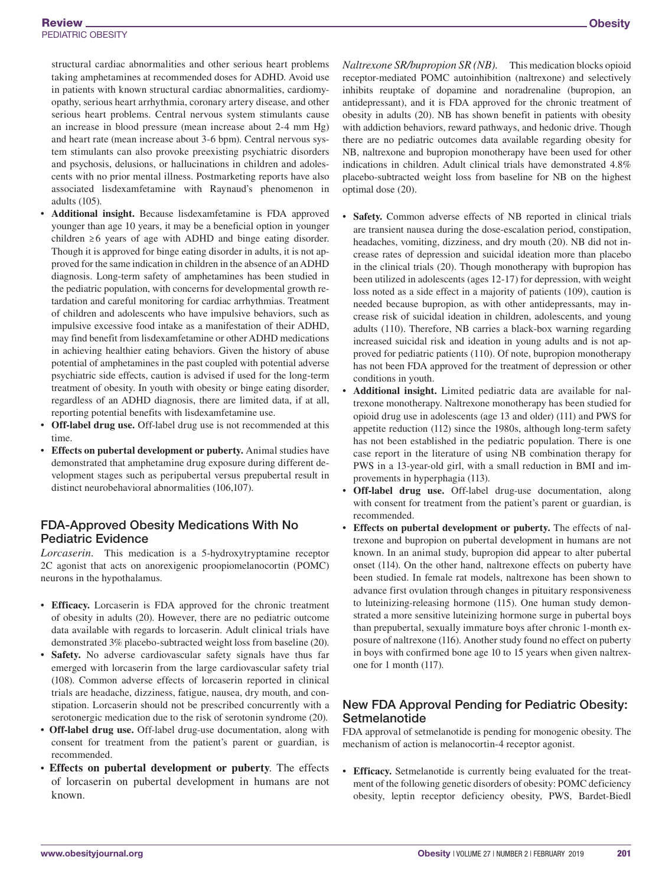structural cardiac abnormalities and other serious heart problems taking amphetamines at recommended doses for ADHD. Avoid use in patients with known structural cardiac abnormalities, cardiomyopathy, serious heart arrhythmia, coronary artery disease, and other serious heart problems. Central nervous system stimulants cause an increase in blood pressure (mean increase about 2-4 mm Hg) and heart rate (mean increase about 3-6 bpm). Central nervous system stimulants can also provoke preexisting psychiatric disorders and psychosis, delusions, or hallucinations in children and adolescents with no prior mental illness. Postmarketing reports have also associated lisdexamfetamine with Raynaud's phenomenon in adults (105).

- **Additional insight.** Because lisdexamfetamine is FDA approved younger than age 10 years, it may be a beneficial option in younger children ≥6 years of age with ADHD and binge eating disorder. Though it is approved for binge eating disorder in adults, it is not approved for the same indication in children in the absence of an ADHD diagnosis. Long-term safety of amphetamines has been studied in the pediatric population, with concerns for developmental growth retardation and careful monitoring for cardiac arrhythmias. Treatment of children and adolescents who have impulsive behaviors, such as impulsive excessive food intake as a manifestation of their ADHD, may find benefit from lisdexamfetamine or other ADHD medications in achieving healthier eating behaviors. Given the history of abuse potential of amphetamines in the past coupled with potential adverse psychiatric side effects, caution is advised if used for the long-term treatment of obesity. In youth with obesity or binge eating disorder, regardless of an ADHD diagnosis, there are limited data, if at all, reporting potential benefits with lisdexamfetamine use.
- **Off-label drug use.** Off-label drug use is not recommended at this time.
- **Effects on pubertal development or puberty.** Animal studies have demonstrated that amphetamine drug exposure during different development stages such as peripubertal versus prepubertal result in distinct neurobehavioral abnormalities (106,107).

### FDA-Approved Obesity Medications With No Pediatric Evidence

*Lorcaserin.* This medication is a 5-hydroxytryptamine receptor 2C agonist that acts on anorexigenic proopiomelanocortin (POMC) neurons in the hypothalamus.

- **Efficacy.** Lorcaserin is FDA approved for the chronic treatment of obesity in adults (20). However, there are no pediatric outcome data available with regards to lorcaserin. Adult clinical trials have demonstrated 3% placebo-subtracted weight loss from baseline (20).
- **Safety.** No adverse cardiovascular safety signals have thus far emerged with lorcaserin from the large cardiovascular safety trial (108). Common adverse effects of lorcaserin reported in clinical trials are headache, dizziness, fatigue, nausea, dry mouth, and constipation. Lorcaserin should not be prescribed concurrently with a serotonergic medication due to the risk of serotonin syndrome (20).
- **Off-label drug use.** Off-label drug-use documentation, along with consent for treatment from the patient's parent or guardian, is recommended.
- **Effects on pubertal development or puberty**. The effects of lorcaserin on pubertal development in humans are not known.

*Naltrexone SR/bupropion SR (NB).* This medication blocks opioid receptor-mediated POMC autoinhibition (naltrexone) and selectively inhibits reuptake of dopamine and noradrenaline (bupropion, an antidepressant), and it is FDA approved for the chronic treatment of obesity in adults (20). NB has shown benefit in patients with obesity with addiction behaviors, reward pathways, and hedonic drive. Though there are no pediatric outcomes data available regarding obesity for NB, naltrexone and bupropion monotherapy have been used for other indications in children. Adult clinical trials have demonstrated 4.8% placebo-subtracted weight loss from baseline for NB on the highest optimal dose (20).

- **Safety.** Common adverse effects of NB reported in clinical trials are transient nausea during the dose-escalation period, constipation, headaches, vomiting, dizziness, and dry mouth (20). NB did not increase rates of depression and suicidal ideation more than placebo in the clinical trials (20). Though monotherapy with bupropion has been utilized in adolescents (ages 12-17) for depression, with weight loss noted as a side effect in a majority of patients (109), caution is needed because bupropion, as with other antidepressants, may increase risk of suicidal ideation in children, adolescents, and young adults (110). Therefore, NB carries a black-box warning regarding increased suicidal risk and ideation in young adults and is not approved for pediatric patients (110). Of note, bupropion monotherapy has not been FDA approved for the treatment of depression or other conditions in youth.
- **Additional insight.** Limited pediatric data are available for naltrexone monotherapy. Naltrexone monotherapy has been studied for opioid drug use in adolescents (age 13 and older) (111) and PWS for appetite reduction (112) since the 1980s, although long-term safety has not been established in the pediatric population. There is one case report in the literature of using NB combination therapy for PWS in a 13-year-old girl, with a small reduction in BMI and improvements in hyperphagia (113).
- **Off-label drug use.** Off-label drug-use documentation, along with consent for treatment from the patient's parent or guardian, is recommended.
- **Effects on pubertal development or puberty.** The effects of naltrexone and bupropion on pubertal development in humans are not known. In an animal study, bupropion did appear to alter pubertal onset (114). On the other hand, naltrexone effects on puberty have been studied. In female rat models, naltrexone has been shown to advance first ovulation through changes in pituitary responsiveness to luteinizing-releasing hormone (115). One human study demonstrated a more sensitive luteinizing hormone surge in pubertal boys than prepubertal, sexually immature boys after chronic 1-month exposure of naltrexone (116). Another study found no effect on puberty in boys with confirmed bone age 10 to 15 years when given naltrexone for 1 month (117).

### New FDA Approval Pending for Pediatric Obesity: Setmelanotide

FDA approval of setmelanotide is pending for monogenic obesity. The mechanism of action is melanocortin-4 receptor agonist.

• **Efficacy.** Setmelanotide is currently being evaluated for the treatment of the following genetic disorders of obesity: POMC deficiency obesity, leptin receptor deficiency obesity, PWS, Bardet-Biedl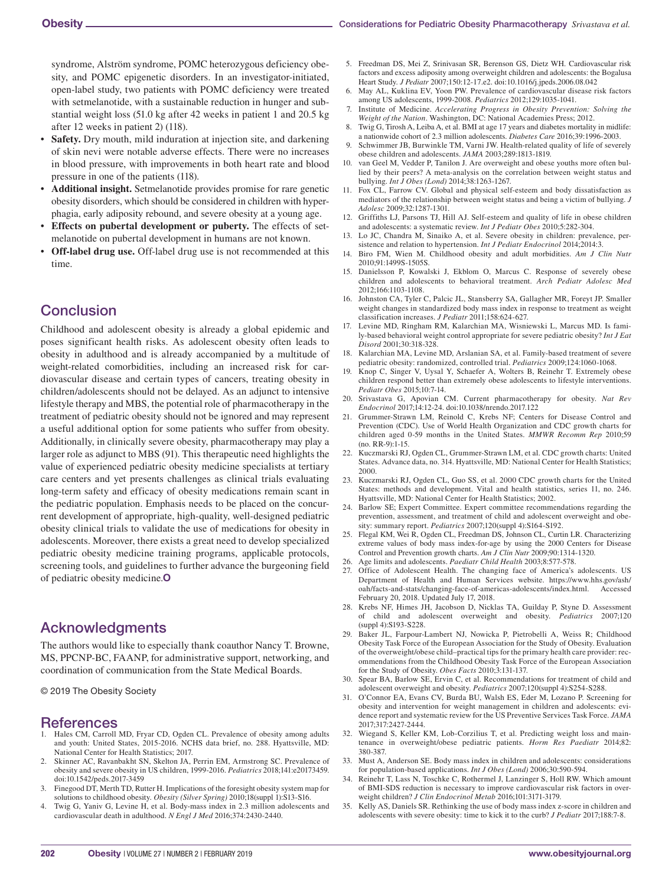syndrome, Alström syndrome, POMC heterozygous deficiency obesity, and POMC epigenetic disorders. In an investigator-initiated, open-label study, two patients with POMC deficiency were treated with setmelanotide, with a sustainable reduction in hunger and substantial weight loss (51.0 kg after 42 weeks in patient 1 and 20.5 kg after 12 weeks in patient 2) (118).

- **Safety.** Dry mouth, mild induration at injection site, and darkening of skin nevi were notable adverse effects. There were no increases in blood pressure, with improvements in both heart rate and blood pressure in one of the patients (118).
- **Additional insight.** Setmelanotide provides promise for rare genetic obesity disorders, which should be considered in children with hyperphagia, early adiposity rebound, and severe obesity at a young age.
- **Effects on pubertal development or puberty.** The effects of setmelanotide on pubertal development in humans are not known.
- **Off-label drug use.** Off-label drug use is not recommended at this time.

## **Conclusion**

Childhood and adolescent obesity is already a global epidemic and poses significant health risks. As adolescent obesity often leads to obesity in adulthood and is already accompanied by a multitude of weight-related comorbidities, including an increased risk for cardiovascular disease and certain types of cancers, treating obesity in children/adolescents should not be delayed. As an adjunct to intensive lifestyle therapy and MBS, the potential role of pharmacotherapy in the treatment of pediatric obesity should not be ignored and may represent a useful additional option for some patients who suffer from obesity. Additionally, in clinically severe obesity, pharmacotherapy may play a larger role as adjunct to MBS (91). This therapeutic need highlights the value of experienced pediatric obesity medicine specialists at tertiary care centers and yet presents challenges as clinical trials evaluating long-term safety and efficacy of obesity medications remain scant in the pediatric population. Emphasis needs to be placed on the concurrent development of appropriate, high-quality, well-designed pediatric obesity clinical trials to validate the use of medications for obesity in adolescents. Moreover, there exists a great need to develop specialized pediatric obesity medicine training programs, applicable protocols, screening tools, and guidelines to further advance the burgeoning field of pediatric obesity medicine.**O**

# Acknowledgments

The authors would like to especially thank coauthor Nancy T. Browne, MS, PPCNP-BC, FAANP, for administrative support, networking, and coordination of communication from the State Medical Boards.

© 2019 The Obesity Society

### References

- 1. Hales CM, Carroll MD, Fryar CD, Ogden CL. Prevalence of obesity among adults and youth: United States, 2015-2016. NCHS data brief, no. 288. Hyattsville, MD: National Center for Health Statistics; 2017.
- 2. Skinner AC, Ravanbakht SN, Skelton JA, Perrin EM, Armstrong SC. Prevalence of obesity and severe obesity in US children, 1999-2016. *Pediatrics* 2018;141:e20173459. doi:[10.1542/peds.2017-3459](https://doi.org/10.1542/peds.2017-3459)
- 3. Finegood DT, Merth TD, Rutter H. Implications of the foresight obesity system map for solutions to childhood obesity. *Obesity (Silver Spring)* 2010;18(suppl 1):S13-S16.
- 4. Twig G, Yaniv G, Levine H, et al. Body-mass index in 2.3 million adolescents and cardiovascular death in adulthood. *N Engl J Med* 2016;374:2430-2440.
- 5. Freedman DS, Mei Z, Srinivasan SR, Berenson GS, Dietz WH. Cardiovascular risk factors and excess adiposity among overweight children and adolescents: the Bogalusa Heart Study. *J Pediatr* 2007;150:12-17.e2. doi[:10.1016/j.jpeds.2006.08.042](https://doi.org/10.1016/j.jpeds.2006.08.042)
- 6. May AL, Kuklina EV, Yoon PW. Prevalence of cardiovascular disease risk factors among US adolescents, 1999-2008. *Pediatrics* 2012;129:1035-1041.
- 7. Institute of Medicine. *Accelerating Progress in Obesity Prevention: Solving the Weight of the Nation*. Washington, DC: National Academies Press; 2012.
- 8. Twig G, Tirosh A, Leiba A, et al. BMI at age 17 years and diabetes mortality in midlife: a nationwide cohort of 2.3 million adolescents. *Diabetes Care* 2016;39:1996-2003. 9. Schwimmer JB, Burwinkle TM, Varni JW. Health-related quality of life of severely
- obese children and adolescents. *JAMA* 2003;289:1813-1819.
- 10. van Geel M, Vedder P, Tanilon J. Are overweight and obese youths more often bullied by their peers? A meta-analysis on the correlation between weight status and bullying. *Int J Obes (Lond)* 2014;38:1263-1267.
- 11. Fox CL, Farrow CV. Global and physical self-esteem and body dissatisfaction as mediators of the relationship between weight status and being a victim of bullying. *J Adolesc* 2009;32:1287-1301.
- 12. Griffiths LJ, Parsons TJ, Hill AJ. Self-esteem and quality of life in obese children and adolescents: a systematic review. *Int J Pediatr Obes* 2010;5:282-304.
- 13. Lo JC, Chandra M, Sinaiko A, et al. Severe obesity in children: prevalence, persistence and relation to hypertension. *Int J Pediatr Endocrinol* 2014;2014:3.
- 14. Biro FM, Wien M. Childhood obesity and adult morbidities. *Am J Clin Nutr* 2010;91:1499S-1505S.
- 15. Danielsson P, Kowalski J, Ekblom O, Marcus C. Response of severely obese children and adolescents to behavioral treatment. *Arch Pediatr Adolesc Med* 2012;166:1103-1108.
- 16. Johnston CA, Tyler C, Palcic JL, Stansberry SA, Gallagher MR, Foreyt JP. Smaller weight changes in standardized body mass index in response to treatment as weight classification increases. *J Pediatr* 2011;158:624-627.
- 17. Levine MD, Ringham RM, Kalarchian MA, Wisniewski L, Marcus MD. Is family-based behavioral weight control appropriate for severe pediatric obesity? *Int J Eat Disord* 2001;30:318-328.
- 18. Kalarchian MA, Levine MD, Arslanian SA, et al. Family-based treatment of severe pediatric obesity: randomized, controlled trial. *Pediatrics* 2009;124:1060-1068.
- 19. Knop C, Singer V, Uysal Y, Schaefer A, Wolters B, Reinehr T. Extremely obese children respond better than extremely obese adolescents to lifestyle interventions. *Pediatr Obes* 2015;10:7-14.
- 20. Srivastava G, Apovian CM. Current pharmacotherapy for obesity. *Nat Rev Endocrinol* 2017;14:12-24. doi[:10.1038/nrendo.2017.122](https://doi.org/10.1038/nrendo.2017.122)
- 21. Grummer-Strawn LM, Reinold C, Krebs NF; Centers for Disease Control and Prevention (CDC). Use of World Health Organization and CDC growth charts for children aged 0-59 months in the United States. *MMWR Recomm Rep* 2010;59 (no. RR-9):1-15.
- 22. Kuczmarski RJ, Ogden CL, Grummer-Strawn LM, et al. CDC growth charts: United States. Advance data, no. 314. Hyattsville, MD: National Center for Health Statistics; 2000.
- 23. Kuczmarski RJ, Ogden CL, Guo SS, et al. 2000 CDC growth charts for the United States: methods and development. Vital and health statistics, series 11, no. 246. Hyattsville, MD: National Center for Health Statistics; 2002.
- 24. Barlow SE; Expert Committee. Expert committee recommendations regarding the prevention, assessment, and treatment of child and adolescent overweight and obesity: summary report. *Pediatrics* 2007;120(suppl 4):S164-S192.
- 25. Flegal KM, Wei R, Ogden CL, Freedman DS, Johnson CL, Curtin LR. Characterizing extreme values of body mass index-for-age by using the 2000 Centers for Disease Control and Prevention growth charts. *Am J Clin Nutr* 2009;90:1314-1320.
- 26. Age limits and adolescents. *Paediatr Child Health* 2003;8:577-578.
- 27. Office of Adolescent Health. The changing face of America's adolescents. US Department of Health and Human Services website. [https://www.hhs.gov/ash/](https://www.hhs.gov/ash/oah/facts-and-stats/changing-face-of-americas-adolescents/index.html) [oah/facts-and-stats/changing-face-of-americas-adolescents/index.html](https://www.hhs.gov/ash/oah/facts-and-stats/changing-face-of-americas-adolescents/index.html). Accessed February 20, 2018. Updated July 17, 2018.
- 28. Krebs NF, Himes JH, Jacobson D, Nicklas TA, Guilday P, Styne D. Assessment of child and adolescent overweight and obesity. *Pediatrics* 2007;120 (suppl 4):S193-S228.
- 29. Baker JL, Farpour-Lambert NJ, Nowicka P, Pietrobelli A, Weiss R; Childhood Obesity Task Force of the European Association for the Study of Obesity. Evaluation of the overweight/obese child–practical tips for the primary health care provider: recommendations from the Childhood Obesity Task Force of the European Association for the Study of Obesity. *Obes Facts* 2010;3:131-137.
- 30. Spear BA, Barlow SE, Ervin C, et al. Recommendations for treatment of child and adolescent overweight and obesity. *Pediatrics* 2007;120(suppl 4):S254-S288.
- 31. O'Connor EA, Evans CV, Burda BU, Walsh ES, Eder M, Lozano P. Screening for obesity and intervention for weight management in children and adolescents: evidence report and systematic review for the US Preventive Services Task Force. *JAMA* 2017;317:2427-2444.
- 32. Wiegand S, Keller KM, Lob-Corzilius T, et al. Predicting weight loss and maintenance in overweight/obese pediatric patients. *Horm Res Paediatr* 2014;82: 380-387.
- Must A, Anderson SE. Body mass index in children and adolescents: considerations for population-based applications. *Int J Obes (Lond)* 2006;30:590-594.
- 34. Reinehr T, Lass N, Toschke C, Rothermel J, Lanzinger S, Holl RW. Which amount of BMI-SDS reduction is necessary to improve cardiovascular risk factors in overweight children? *J Clin Endocrinol Metab* 2016;101:3171-3179.
- 35. Kelly AS, Daniels SR. Rethinking the use of body mass index z-score in children and adolescents with severe obesity: time to kick it to the curb? *J Pediatr* 2017;188:7-8.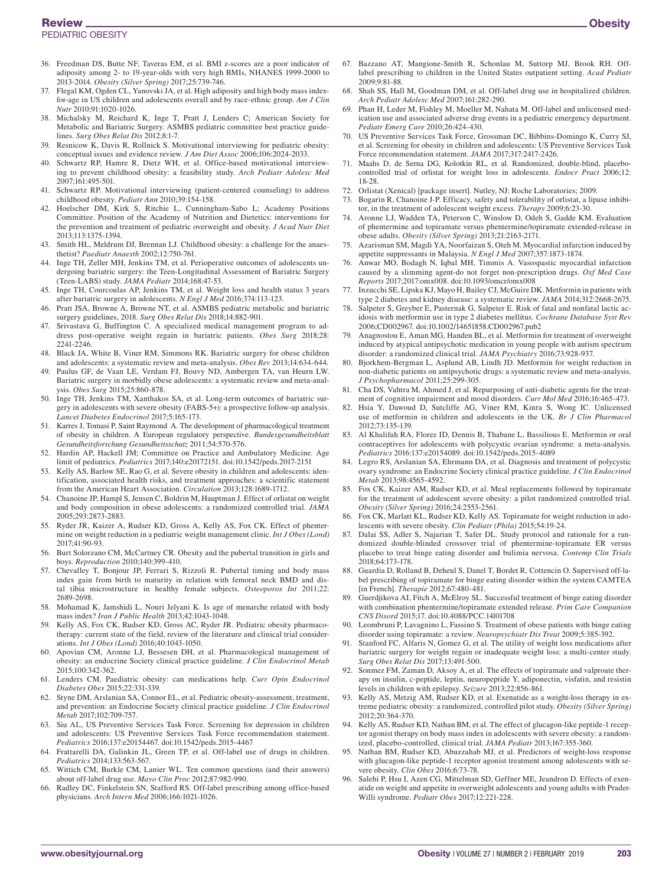- 37. Flegal KM, Ogden CL, Yanovski JA, et al. High adiposity and high body mass indexfor-age in US children and adolescents overall and by race-ethnic group. *Am J Clin Nutr* 2010;91:1020-1026.
- 38. Michalsky M, Reichard K, Inge T, Pratt J, Lenders C; American Society for Metabolic and Bariatric Surgery. ASMBS pediatric committee best practice guidelines. *Surg Obes Relat Dis* 2012;8:1-7.
- 39. Resnicow K, Davis R, Rollnick S. Motivational interviewing for pediatric obesity: conceptual issues and evidence review. *J Am Diet Assoc* 2006;106:2024-2033.
- 40. Schwartz RP, Hamre R, Dietz WH, et al. Office-based motivational interviewing to prevent childhood obesity: a feasibility study. *Arch Pediatr Adolesc Med* 2007;161:495-501.
- 41. Schwartz RP. Motivational interviewing (patient-centered counseling) to address childhood obesity. *Pediatr Ann* 2010;39:154-158.
- 42. Hoelscher DM, Kirk S, Ritchie L, Cunningham-Sabo L; Academy Positions Committee. Position of the Academy of Nutrition and Dietetics: interventions for the prevention and treatment of pediatric overweight and obesity. *J Acad Nutr Diet* 2013;113:1375-1394.
- Smith HL, Meldrum DJ, Brennan LJ. Childhood obesity: a challenge for the anaesthetist? *Paediatr Anaesth* 2002;12:750-761.
- 44. Inge TH, Zeller MH, Jenkins TM, et al. Perioperative outcomes of adolescents undergoing bariatric surgery: the Teen-Longitudinal Assessment of Bariatric Surgery (Teen-LABS) study. *JAMA Pediatr* 2014;168:47-53.
- 45. Inge TH, Courcoulas AP, Jenkins TM, et al. Weight loss and health status 3 years after bariatric surgery in adolescents. *N Engl J Med* 2016;374:113-123.
- 46. Pratt JSA, Browne A, Browne NT, et al. ASMBS pediatric metabolic and bariatric surgery guidelines, 2018. *Surg Obes Relat Dis* 2018;14:882-901.
- 47. Srivastava G, Buffington C. A specialized medical management program to address post-operative weight regain in bariatric patients. *Obes Surg* 2018;28: 2241-2246.
- 48. Black JA, White B, Viner RM, Simmons RK. Bariatric surgery for obese children and adolescents: a systematic review and meta-analysis. *Obes Rev* 2013;14:634-644.
- 49. Paulus GF, de Vaan LE, Verdam FJ, Bouvy ND, Ambergen TA, van Heurn LW. Bariatric surgery in morbidly obese adolescents: a systematic review and meta-analysis. *Obes Surg* 2015;25:860-878.
- 50. Inge TH, Jenkins TM, Xanthakos SA, et al. Long-term outcomes of bariatric surgery in adolescents with severe obesity (FABS-5+): a prospective follow-up analysis. *Lancet Diabetes Endocrinol* 2017;5:165-173.
- 51. Karres J, Tomasi P, Saint Raymond A. The development of pharmacological treatment of obesity in children. A European regulatory perspective. *Bundesgesundheitsblatt Gesundheitsforschung Gesundheitsschutz* 2011;54:570-576.
- 52. Hardin AP, Hackell JM; Committee on Practice and Ambulatory Medicine. Age limit of pediatrics. *Pediatrics* 2017;140:e20172151. doi:[10.1542/peds.2017-2151](https://doi.org/10.1542/peds.2017-2151)
- 53. Kelly AS, Barlow SE, Rao G, et al. Severe obesity in children and adolescents: identification, associated health risks, and treatment approaches: a scientific statement from the American Heart Association. *Circulation* 2013;128:1689-1712.
- 54. Chanoine JP, Hampl S, Jensen C, Boldrin M, Hauptman J. Effect of orlistat on weight and body composition in obese adolescents: a randomized controlled trial. *JAMA* 2005;293:2873-2883.
- 55. Ryder JR, Kaizer A, Rudser KD, Gross A, Kelly AS, Fox CK. Effect of phentermine on weight reduction in a pediatric weight management clinic. *Int J Obes (Lond)* 2017;41:90-93.
- 56. Burt Solorzano CM, McCartney CR. Obesity and the pubertal transition in girls and boys. *Reproduction* 2010;140:399-410.
- 57. Chevalley T, Bonjour JP, Ferrari S, Rizzoli R. Pubertal timing and body mass index gain from birth to maturity in relation with femoral neck BMD and distal tibia microstructure in healthy female subjects. *Osteoporos Int* 2011;22: 2689-2698.
- 58. Mohamad K, Jamshidi L, Nouri Jelyani K. Is age of menarche related with body mass index? *Iran J Public Health* 2013;42:1043-1048.
- 59. Kelly AS, Fox CK, Rudser KD, Gross AC, Ryder JR. Pediatric obesity pharmacotherapy: current state of the field, review of the literature and clinical trial considerations. *Int J Obes (Lond)* 2016;40:1043-1050.
- 60. Apovian CM, Aronne LJ, Bessesen DH, et al. Pharmacological management of obesity: an endocrine Society clinical practice guideline. *J Clin Endocrinol Metab* 2015;100:342-362.
- 61. Lenders CM. Paediatric obesity: can medications help. *Curr Opin Endocrinol Diabetes Obes* 2015;22:331-339.
- 62. Styne DM, Arslanian SA, Connor EL, et al. Pediatric obesity-assessment, treatment, and prevention: an Endocrine Society clinical practice guideline. *J Clin Endocrinol Metab* 2017;102:709-757.
- 63. Siu AL, US Preventive Services Task Force. Screening for depression in children and adolescents: US Preventive Services Task Force recommendation statement. *Pediatrics* 2016;137:e20154467. doi[:10.1542/peds.2015-4467](https://doi.org/10.1542/peds.2015-4467)
- 64. Frattarelli DA, Galinkin JL, Green TP, et al. Off-label use of drugs in children. *Pediatrics* 2014;133:563-567.
- 65. Wittich CM, Burkle CM, Lanier WL. Ten common questions (and their answers) about off-label drug use. *Mayo Clin Proc* 2012;87:982-990.
- Radley DC, Finkelstein SN, Stafford RS. Off-label prescribing among office-based physicians. *Arch Intern Med* 2006;166:1021-1026.
- 67. Bazzano AT, Mangione-Smith R, Schonlau M, Suttorp MJ, Brook RH. Offlabel prescribing to children in the United States outpatient setting. *Acad Pediatr* 2009;9:81-88.
- 68. Shah SS, Hall M, Goodman DM, et al. Off-label drug use in hospitalized children. *Arch Pediatr Adolesc Med* 2007;161:282-290.
- 69. Phan H, Leder M, Fishley M, Moeller M, Nahata M. Off-label and unlicensed medication use and associated adverse drug events in a pediatric emergency department. *Pediatr Emerg Care* 2010;26:424-430.
- 70. US Preventive Services Task Force, Grossman DC, Bibbins-Domingo K, Curry SJ, et al. Screening for obesity in children and adolescents: US Preventive Services Task Force recommendation statement. *JAMA* 2017;317:2417-2426.
- 71. Maahs D, de Serna DG, Kolotkin RL, et al. Randomized, double-blind, placebocontrolled trial of orlistat for weight loss in adolescents. *Endocr Pract* 2006;12: 18-28.
- 72. Orlistat (Xenical) [package insert]. Nutley, NJ: Roche Laboratories; 2009.
- 73. Bogarin R, Chanoine J-P. Efficacy, safety and tolerability of orlistat, a lipase inhibitor, in the treatment of adolescent weight excess. *Therapy* 2009;6:23-30.
- Aronne LJ, Wadden TA, Peterson C, Winslow D, Odeh S, Gadde KM. Evaluation of phentermine and topiramate versus phentermine/topiramate extended-release in obese adults. *Obesity (Silver Spring)* 2013;21:2163-2171.
- Azarisman SM, Magdi YA, Noorfaizan S, Oteh M. Myocardial infarction induced by appetite suppressants in Malaysia. *N Engl J Med* 2007;357:1873-1874.
- 76. Anwar MO, Bodagh N, Iqbal MH, Timmis A. Vasospastic myocardial infarction caused by a slimming agent-do not forget non-prescription drugs. *Oxf Med Case Reports* 2017;2017:omx008. doi[:10.1093/omcr/omx008](https://doi.org/10.1093/omcr/omx008)
- 77. Inzucchi SE, Lipska KJ, Mayo H, Bailey CJ, McGuire DK. Metformin in patients with type 2 diabetes and kidney disease: a systematic review. *JAMA* 2014;312:2668-2675.
- 78. Salpeter S, Greyber E, Pasternak G, Salpeter E. Risk of fatal and nonfatal lactic acidosis with metformin use in type 2 diabetes mellitus. *Cochrane Database Syst Rev* 2006;CD002967. doi[:10.1002/14651858.CD002967.pub2](https://doi.org/10.1002/14651858.CD002967.pub2)
- 79. Anagnostou E, Aman MG, Handen BL, et al. Metformin for treatment of overweight induced by atypical antipsychotic medication in young people with autism spectrum disorder: a randomized clinical trial. *JAMA Psychiatry* 2016;73:928-937.
- Bjorkhem-Bergman L, Asplund AB, Lindh JD. Metformin for weight reduction in non-diabetic patients on antipsychotic drugs: a systematic review and meta-analysis. *J Psychopharmacol* 2011;25:299-305.
- 81. Cha DS, Vahtra M, Ahmed J, et al. Repurposing of anti-diabetic agents for the treatment of cognitive impairment and mood disorders. *Curr Mol Med* 2016;16:465-473.
- 82. Hsia Y, Dawoud D, Sutcliffe AG, Viner RM, Kinra S, Wong IC. Unlicensed use of metformin in children and adolescents in the UK. *Br J Clin Pharmacol* 2012;73:135-139.
- 83. Al Khalifah RA, Florez ID, Dennis B, Thabane L, Bassilious E. Metformin or oral contraceptives for adolescents with polycystic ovarian syndrome: a meta-analysis. *Pediatrics* 2016:137:e20154089. doi:10.1542/peds.2015-4089
- Legro RS, Arslanian SA, Ehrmann DA, et al. Diagnosis and treatment of polycystic ovary syndrome: an Endocrine Society clinical practice guideline. *J Clin Endocrinol Metab* 2013;98:4565-4592.
- Fox CK, Kaizer AM, Rudser KD, et al. Meal replacements followed by topiramate for the treatment of adolescent severe obesity: a pilot randomized controlled trial. *Obesity (Silver Spring)* 2016;24:2553-2561.
- Fox CK, Marlatt KL, Rudser KD, Kelly AS. Topiramate for weight reduction in adolescents with severe obesity. *Clin Pediatr (Phila)* 2015;54:19-24.
- 87. Dalai SS, Adler S, Najarian T, Safer DL. Study protocol and rationale for a randomized double-blinded crossover trial of phentermine-topiramate ER versus placebo to treat binge eating disorder and bulimia nervosa. *Contemp Clin Trials* 2018;64:173-178.
- 88. Guardia D, Rolland B, Deheul S, Danel T, Bordet R, Cottencin O. Supervised off-label prescribing of topiramate for binge eating disorder within the system CAMTEA [in French]. *Therapie* 2012;67:480-481.
- 89. Guerdjikova AI, Fitch A, McElroy SL. Successful treatment of binge eating disorder with combination phentermine/topiramate extended release. *Prim Care Companion CNS Disord* 2015;17. doi[:10.4088/PCC.14l01708](https://doi.org/10.4088/PCC.14l01708)
- 90. Leombruni P, Lavagnino L, Fassino S. Treatment of obese patients with binge eating disorder using topiramate: a review. *Neuropsychiatr Dis Treat* 2009;5:385-392.
- Stanford FC, Alfaris N, Gomez G, et al. The utility of weight loss medications after bariatric surgery for weight regain or inadequate weight loss: a multi-center study. *Surg Obes Relat Dis* 2017;13:491-500.
- 92. Sonmez FM, Zaman D, Aksoy A, et al. The effects of topiramate and valproate therapy on insulin, c-peptide, leptin, neuropeptide Y, adiponectin, visfatin, and resistin levels in children with epilepsy. *Seizure* 2013;22:856-861.
- 93. Kelly AS, Metzig AM, Rudser KD, et al. Exenatide as a weight-loss therapy in extreme pediatric obesity: a randomized, controlled pilot study. *Obesity (Silver Spring)* 2012;20:364-370.
- 94. Kelly AS, Rudser KD, Nathan BM, et al. The effect of glucagon-like peptide-1 receptor agonist therapy on body mass index in adolescents with severe obesity: a randomized, placebo-controlled, clinical trial. *JAMA Pediatr* 2013;167:355-360.
- Nathan BM, Rudser KD, Abuzzahab MJ, et al. Predictors of weight-loss response with glucagon-like peptide-1 receptor agonist treatment among adolescents with severe obesity. *Clin Obes* 2016;6:73-78.
- 96. Salehi P, Hsu I, Azen CG, Mittelman SD, Geffner ME, Jeandron D. Effects of exenatide on weight and appetite in overweight adolescents and young adults with Prader-Willi syndrome. *Pediatr Obes* 2017;12:221-228.